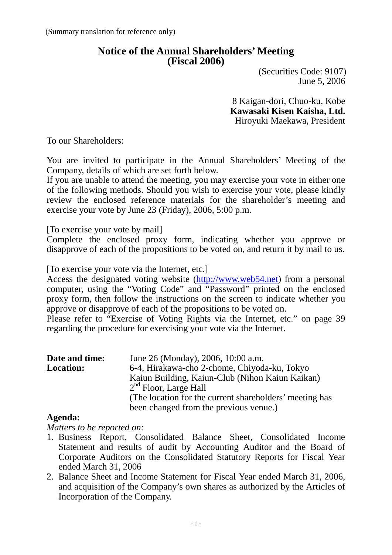# **Notice of the Annual Shareholders' Meeting (Fiscal 2006)**

 (Securities Code: 9107) June 5, 2006

8 Kaigan-dori, Chuo-ku, Kobe **Kawasaki Kisen Kaisha, Ltd.** Hiroyuki Maekawa, President

To our Shareholders:

You are invited to participate in the Annual Shareholders' Meeting of the Company, details of which are set forth below.

If you are unable to attend the meeting, you may exercise your vote in either one of the following methods. Should you wish to exercise your vote, please kindly review the enclosed reference materials for the shareholder's meeting and exercise your vote by June 23 (Friday), 2006, 5:00 p.m.

[To exercise your vote by mail]

Complete the enclosed proxy form, indicating whether you approve or disapprove of each of the propositions to be voted on, and return it by mail to us.

[To exercise your vote via the Internet, etc.]

Access the designated voting website [\(http://www.web54.net\)](http://www.webdk54.net/) from a personal computer, using the "Voting Code" and "Password" printed on the enclosed proxy form, then follow the instructions on the screen to indicate whether you approve or disapprove of each of the propositions to be voted on.

Please refer to "Exercise of Voting Rights via the Internet, etc." on page 39 regarding the procedure for exercising your vote via the Internet.

| Date and time:                                          | June 26 (Monday), 2006, 10:00 a.m.              |
|---------------------------------------------------------|-------------------------------------------------|
| <b>Location:</b>                                        | 6-4, Hirakawa-cho 2-chome, Chiyoda-ku, Tokyo    |
|                                                         | Kaiun Building, Kaiun-Club (Nihon Kaiun Kaikan) |
|                                                         | $2nd$ Floor, Large Hall                         |
| (The location for the current shareholders' meeting has |                                                 |
|                                                         | been changed from the previous venue.)          |

### **Agenda:**

*Matters to be reported on:*

- 1. Business Report, Consolidated Balance Sheet, Consolidated Income Statement and results of audit by Accounting Auditor and the Board of Corporate Auditors on the Consolidated Statutory Reports for Fiscal Year ended March 31, 2006
- 2. Balance Sheet and Income Statement for Fiscal Year ended March 31, 2006, and acquisition of the Company's own shares as authorized by the Articles of Incorporation of the Company.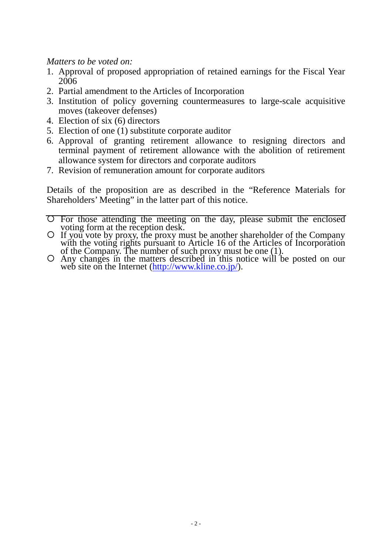*Matters to be voted on:*

- 1. Approval of proposed appropriation of retained earnings for the Fiscal Year 2006
- 2. Partial amendment to the Articles of Incorporation
- 3. Institution of policy governing countermeasures to large-scale acquisitive moves (takeover defenses)
- 4. Election of six (6) directors
- 5. Election of one (1) substitute corporate auditor
- 6. Approval of granting retirement allowance to resigning directors and terminal payment of retirement allowance with the abolition of retirement allowance system for directors and corporate auditors
- 7. Revision of remuneration amount for corporate auditors

Details of the proposition are as described in the "Reference Materials for Shareholders' Meeting" in the latter part of this notice.

- For those attending the meeting on the day, please submit the enclosed
- voting form at the reception desk.<br>
O If you vote by proxy, the proxy must be another shareholder of the Company
- with the voting rights pursuant to Article 16 of the Articles of Incorporation<br>of the Company. The number of such proxy must be one (1).<br>O Any changes in the ma[tters described in this n](http://www.kline.co.jp/)otice will be posted on our<br>web site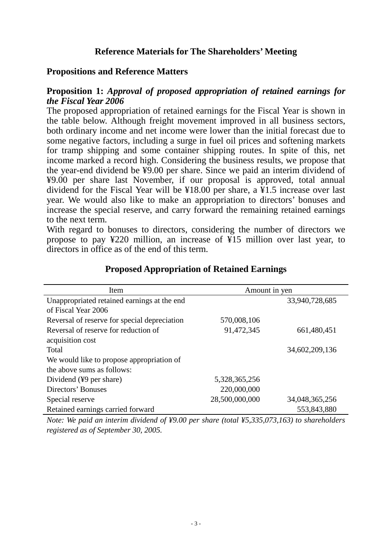# **Reference Materials for The Shareholders' Meeting**

#### **Propositions and Reference Matters**

#### **Proposition 1:** *Approval of proposed appropriation of retained earnings for the Fiscal Year 2006*

The proposed appropriation of retained earnings for the Fiscal Year is shown in the table below. Although freight movement improved in all business sectors, both ordinary income and net income were lower than the initial forecast due to some negative factors, including a surge in fuel oil prices and softening markets for tramp shipping and some container shipping routes. In spite of this, net income marked a record high. Considering the business results, we propose that the year-end dividend be ¥9.00 per share. Since we paid an interim dividend of ¥9.00 per share last November, if our proposal is approved, total annual dividend for the Fiscal Year will be ¥18.00 per share, a ¥1.5 increase over last year. We would also like to make an appropriation to directors' bonuses and increase the special reserve, and carry forward the remaining retained earnings to the next term.

With regard to bonuses to directors, considering the number of directors we propose to pay ¥220 million, an increase of ¥15 million over last year, to directors in office as of the end of this term.

| Item                                         | Amount in yen  |                |
|----------------------------------------------|----------------|----------------|
| Unappropriated retained earnings at the end  |                | 33,940,728,685 |
| of Fiscal Year 2006                          |                |                |
| Reversal of reserve for special depreciation | 570,008,106    |                |
| Reversal of reserve for reduction of         | 91,472,345     | 661,480,451    |
| acquisition cost                             |                |                |
| Total                                        |                | 34,602,209,136 |
| We would like to propose appropriation of    |                |                |
| the above sums as follows:                   |                |                |
| Dividend (¥9 per share)                      | 5,328,365,256  |                |
| Directors' Bonuses                           | 220,000,000    |                |
| Special reserve                              | 28,500,000,000 | 34,048,365,256 |
| Retained earnings carried forward            |                | 553,843,880    |

### **Proposed Appropriation of Retained Earnings**

*Note: We paid an interim dividend of ¥9.00 per share (total ¥5,335,073,163) to shareholders registered as of September 30, 2005.*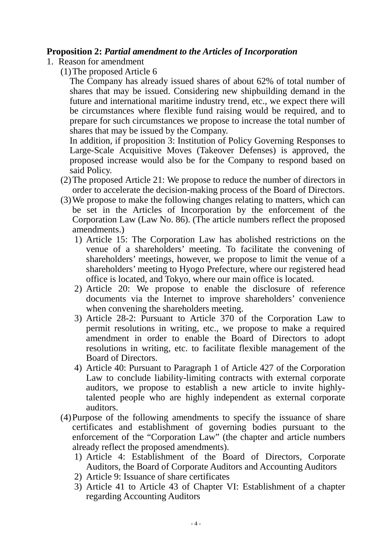#### **Proposition 2:** *Partial amendment to the Articles of Incorporation*

- 1. Reason for amendment
	- (1)The proposed Article 6

The Company has already issued shares of about 62% of total number of shares that may be issued. Considering new shipbuilding demand in the future and international maritime industry trend, etc., we expect there will be circumstances where flexible fund raising would be required, and to prepare for such circumstances we propose to increase the total number of shares that may be issued by the Company.

In addition, if proposition 3: Institution of Policy Governing Responses to Large-Scale Acquisitive Moves (Takeover Defenses) is approved, the proposed increase would also be for the Company to respond based on said Policy.

- (2)The proposed Article 21: We propose to reduce the number of directors in order to accelerate the decision-making process of the Board of Directors.
- (3)We propose to make the following changes relating to matters, which can be set in the Articles of Incorporation by the enforcement of the Corporation Law (Law No. 86). (The article numbers reflect the proposed amendments.)
	- 1) Article 15: The Corporation Law has abolished restrictions on the venue of a shareholders' meeting. To facilitate the convening of shareholders' meetings, however, we propose to limit the venue of a shareholders' meeting to Hyogo Prefecture, where our registered head office is located, and Tokyo, where our main office is located.
	- 2) Article 20: We propose to enable the disclosure of reference documents via the Internet to improve shareholders' convenience when convening the shareholders meeting.
	- 3) Article 28-2: Pursuant to Article 370 of the Corporation Law to permit resolutions in writing, etc., we propose to make a required amendment in order to enable the Board of Directors to adopt resolutions in writing, etc. to facilitate flexible management of the Board of Directors.
	- 4) Article 40: Pursuant to Paragraph 1 of Article 427 of the Corporation Law to conclude liability-limiting contracts with external corporate auditors, we propose to establish a new article to invite highlytalented people who are highly independent as external corporate auditors.
- (4)Purpose of the following amendments to specify the issuance of share certificates and establishment of governing bodies pursuant to the enforcement of the "Corporation Law" (the chapter and article numbers already reflect the proposed amendments).
	- 1) Article 4: Establishment of the Board of Directors, Corporate Auditors, the Board of Corporate Auditors and Accounting Auditors
	- 2) Article 9: Issuance of share certificates
	- 3) Article 41 to Article 43 of Chapter VI: Establishment of a chapter regarding Accounting Auditors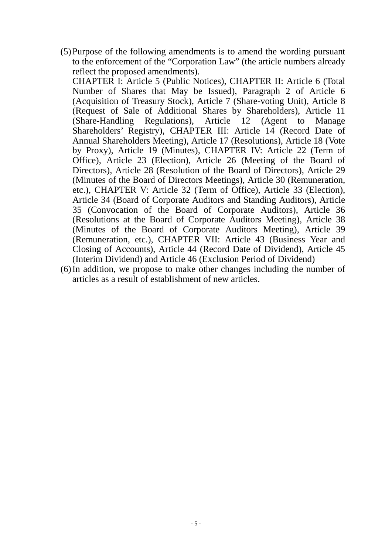(5)Purpose of the following amendments is to amend the wording pursuant to the enforcement of the "Corporation Law" (the article numbers already reflect the proposed amendments).

CHAPTER I: Article 5 (Public Notices), CHAPTER II: Article 6 (Total Number of Shares that May be Issued), Paragraph 2 of Article 6 (Acquisition of Treasury Stock), Article 7 (Share-voting Unit), Article 8 (Request of Sale of Additional Shares by Shareholders), Article 11 (Share-Handling Regulations), Article 12 (Agent to Manage Shareholders' Registry), CHAPTER III: Article 14 (Record Date of Annual Shareholders Meeting), Article 17 (Resolutions), Article 18 (Vote by Proxy), Article 19 (Minutes), CHAPTER IV: Article 22 (Term of Office), Article 23 (Election), Article 26 (Meeting of the Board of Directors), Article 28 (Resolution of the Board of Directors), Article 29 (Minutes of the Board of Directors Meetings), Article 30 (Remuneration, etc.), CHAPTER V: Article 32 (Term of Office), Article 33 (Election), Article 34 (Board of Corporate Auditors and Standing Auditors), Article 35 (Convocation of the Board of Corporate Auditors), Article 36 (Resolutions at the Board of Corporate Auditors Meeting), Article 38 (Minutes of the Board of Corporate Auditors Meeting), Article 39 (Remuneration, etc.), CHAPTER VII: Article 43 (Business Year and Closing of Accounts), Article 44 (Record Date of Dividend), Article 45 (Interim Dividend) and Article 46 (Exclusion Period of Dividend)

(6)In addition, we propose to make other changes including the number of articles as a result of establishment of new articles.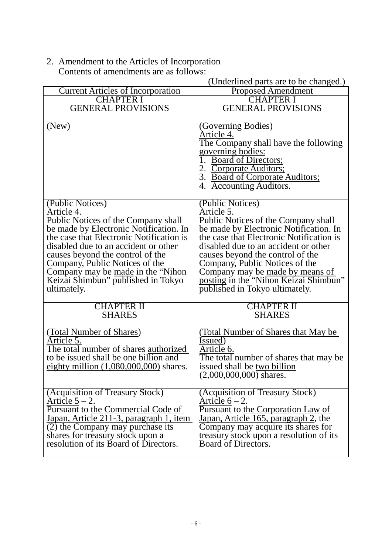2. Amendment to the Articles of Incorporation Contents of amendments are as follows:

|                                                                               | $\alpha$ ondermined parts are to be enanged.                                  |
|-------------------------------------------------------------------------------|-------------------------------------------------------------------------------|
| <b>Current Articles of Incorporation</b>                                      | <b>Proposed Amendment</b>                                                     |
| <b>CHAPTER I</b>                                                              | <b>CHAPTER I</b>                                                              |
| <b>GENERAL PROVISIONS</b>                                                     | <b>GENERAL PROVISIONS</b>                                                     |
|                                                                               |                                                                               |
| (New)                                                                         | (Governing Bodies)                                                            |
|                                                                               | Article 4.                                                                    |
|                                                                               | <u>The Company shall have the following</u>                                   |
|                                                                               | governing bodies:                                                             |
|                                                                               | 1. Board of Directors;                                                        |
|                                                                               | 2. Corporate Auditors;                                                        |
|                                                                               | 3. Board of Corporate Auditors;                                               |
|                                                                               | 4. Accounting Auditors.                                                       |
|                                                                               |                                                                               |
| (Public Notices)                                                              | (Public Notices)                                                              |
| Article 4.                                                                    | Article 5.                                                                    |
| Public Notices of the Company shall<br>be made by Electronic Notification. In | Public Notices of the Company shall<br>be made by Electronic Notification. In |
|                                                                               |                                                                               |
| the case that Electronic Notification is                                      | the case that Electronic Notification is                                      |
| disabled due to an accident or other                                          | disabled due to an accident or other                                          |
| causes beyond the control of the                                              | causes beyond the control of the                                              |
| Company, Public Notices of the                                                | Company, Public Notices of the                                                |
| Company may be made in the "Nihon"                                            | Company may be made by means of                                               |
| Keizai Shimbun" published in Tokyo                                            | posting in the "Nihon Keizai Shimbun"                                         |
| ultimately.                                                                   | published in Tokyo ultimately.                                                |
| <b>CHAPTER II</b>                                                             |                                                                               |
| <b>SHARES</b>                                                                 | <b>CHAPTER II</b><br><b>SHARES</b>                                            |
|                                                                               |                                                                               |
|                                                                               |                                                                               |
| (Total Number of Shares)<br>Article 5.                                        | (Total Number of Shares that May be)<br>Issued)                               |
| The total number of shares authorized                                         | Article 6.                                                                    |
| to be issued shall be one billion and                                         | The total number of shares that may be                                        |
| eighty million $(1,080,000,000)$ shares.                                      | issued shall be two billion                                                   |
|                                                                               | $(2,000,000,000)$ shares.                                                     |
|                                                                               |                                                                               |
| (Acquisition of Treasury Stock)                                               | (Acquisition of Treasury Stock)                                               |
| Article $5 - 2$ .                                                             | Article $6 - 2$ .                                                             |
| Pursuant to the Commercial Code of                                            | Pursuant to the Corporation Law of                                            |
| Japan, Article 211-3, paragraph 1, item                                       | Japan, Article 165, paragraph 2, the                                          |
| (2) the Company may purchase its                                              | Company may acquire its shares for                                            |
| shares for treasury stock upon a                                              | treasury stock upon a resolution of its                                       |
| resolution of its Board of Directors.                                         | Board of Directors.                                                           |
|                                                                               |                                                                               |
|                                                                               |                                                                               |

# (Underlined parts are to be changed.)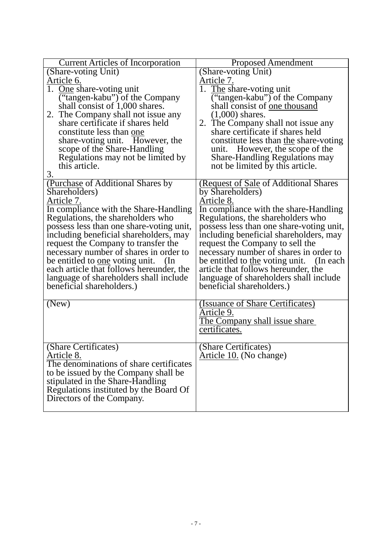| <b>Current Articles of Incorporation</b>         | <b>Proposed Amendment</b>                |
|--------------------------------------------------|------------------------------------------|
| (Share-voting Unit)                              | (Share-voting Unit)                      |
| Article 6.                                       | Article 7.                               |
| 1. One share-voting unit                         | 1. The share-voting unit                 |
| ("tangen-kabu") of the Company                   | ("tangen-kabu") of the Company           |
| shall consist of 1,000 shares.                   | shall consist of <u>one</u> thousand     |
| 2. The Company shall not issue any               | $(1,000)$ shares.                        |
| share certificate if shares held                 | 2. The Company shall not issue any       |
| constitute less than one                         | share certificate if shares held         |
| share-voting unit. However, the                  | constitute less than the share-voting    |
| scope of the Share-Handling                      | unit. However, the scope of the          |
| Regulations may not be limited by                | <b>Share-Handling Regulations may</b>    |
| this article.                                    | not be limited by this article.          |
| 3.                                               |                                          |
| (Purchase of Additional Shares by                | (Request of Sale of Additional Shares    |
| Shareholders)                                    | by Shareholders)                         |
| Article 7.                                       | Article 8.                               |
| In compliance with the Share-Handling            | In compliance with the share-Handling    |
| Regulations, the shareholders who                | Regulations, the shareholders who        |
| possess less than one share-voting unit,         | possess less than one share-voting unit, |
| including beneficial shareholders, may           | including beneficial shareholders, may   |
| request the Company to transfer the              | request the Company to sell the          |
| necessary number of shares in order to           | necessary number of shares in order to   |
| be entitled to <u>one</u> voting unit.<br>$(\ln$ | be entitled to the voting unit. (In each |
| each article that follows hereunder, the         | article that follows hereunder, the      |
| language of shareholders shall include           | language of shareholders shall include   |
| beneficial shareholders.)                        | beneficial shareholders.)                |
|                                                  |                                          |
| (New)                                            | (Issuance of Share Certificates)         |
|                                                  | Article 9.                               |
|                                                  | The Company shall issue share            |
|                                                  | certificates.                            |
|                                                  |                                          |
| (Share Certificates)                             | (Share Certificates)                     |
| Article 8.                                       | Article 10. (No change)                  |
| The denominations of share certificates          |                                          |
| to be issued by the Company shall be             |                                          |
| stipulated in the Share-Handling                 |                                          |
| Regulations instituted by the Board Of           |                                          |
| Directors of the Company.                        |                                          |
|                                                  |                                          |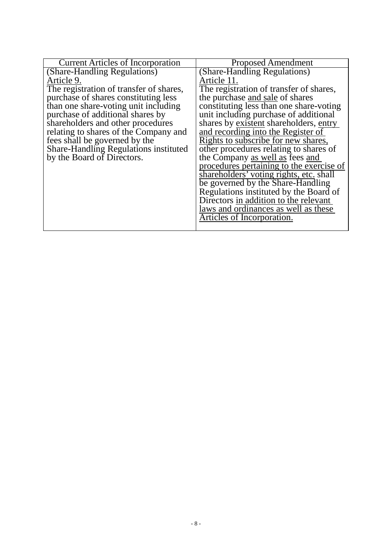| <b>Current Articles of Incorporation</b> | <b>Proposed Amendment</b>                |
|------------------------------------------|------------------------------------------|
| (Share-Handling Regulations)             | (Share-Handling Regulations)             |
| Article 9.                               | Article 11.                              |
| The registration of transfer of shares,  | The registration of transfer of shares,  |
| purchase of shares constituting less     | the purchase and sale of shares          |
| than one share-voting unit including     | constituting less than one share-voting  |
| purchase of additional shares by         | unit including purchase of additional    |
| shareholders and other procedures        | shares by existent shareholders, entry   |
| relating to shares of the Company and    | and recording into the Register of       |
| fees shall be governed by the            | Rights to subscribe for new shares,      |
| Share-Handling Regulations instituted    | other procedures relating to shares of   |
| by the Board of Directors.               | the Company as well as fees and          |
|                                          | procedures pertaining to the exercise of |
|                                          | shareholders' voting rights, etc. shall  |
|                                          | be governed by the Share-Handling        |
|                                          | Regulations instituted by the Board of   |
|                                          | Directors in addition to the relevant    |
|                                          | laws and ordinances as well as these     |
|                                          | Articles of Incorporation.               |
|                                          |                                          |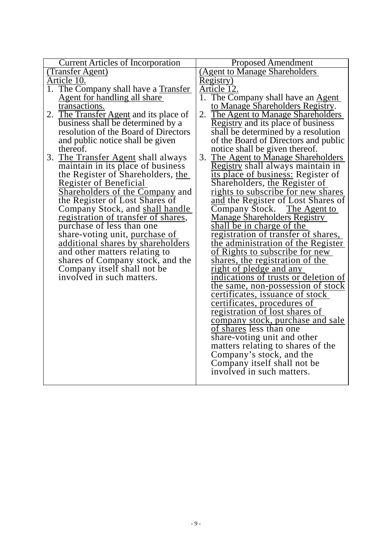| <b>Current Articles of Incorporation</b>  | <b>Proposed Amendment</b>                |
|-------------------------------------------|------------------------------------------|
| (Transfer Agent)                          | <b>Agent to Manage Shareholders</b>      |
| Article 10.                               | Registry)                                |
| 1. The Company shall have a Transfer      | Article 12.                              |
| Agent for handling all share              | 1. The Company shall have an Agent       |
| transactions.                             | to Manage Shareholders Registry.         |
| The Transfer Agent and its place of<br>2. | 2. The Agent to Manage Shareholders      |
| business shall be determined by a         | Registry and its place of business       |
| resolution of the Board of Directors      | shall be determined by a resolution      |
| and public notice shall be given          | of the Board of Directors and public     |
| thereof.                                  | notice shall be given thereof.           |
| 3. The Transfer Agent shall always        | 3. The Agent to Manage Shareholders      |
| maintain in its place of business         | Registry shall always maintain in        |
| the Register of Shareholders, the         | its place of business: Register of       |
| <b>Register of Beneficial</b>             | Shareholders, the Register of            |
| Shareholders of the Company and           | rights to subscribe for new shares       |
| the Register of Lost Shares of            | and the Register of Lost Shares of       |
| Company Stock, and shall handle           | Company Stock. The Agent to              |
| registration of transfer of shares,       | <b>Manage Shareholders Registry</b>      |
| purchase of less than one                 | shall be in charge of the                |
| share-voting unit, purchase of            | registration of transfer of shares,      |
| additional shares by shareholders         | the administration of the Register       |
| and other matters relating to             | of Rights to subscribe for new           |
| shares of Company stock, and the          | shares, the registration of the          |
| Company itself shall not be               | right of pledge and any                  |
| involved in such matters.                 | indications of trusts or deletion of     |
|                                           | <u>the same, non-possession of stock</u> |
|                                           | <u>certificates, issuance of stock</u>   |
|                                           | certificates, procedures of              |
|                                           | <u>registration of lost shares of</u>    |
|                                           | <u>company stock, purchase and sale</u>  |
|                                           | of shares less than one                  |
|                                           | share-voting unit and other              |
|                                           | matters relating to shares of the        |
|                                           | Company's stock, and the                 |
|                                           | Company itself shall not be              |
|                                           | involved in such matters.                |
|                                           |                                          |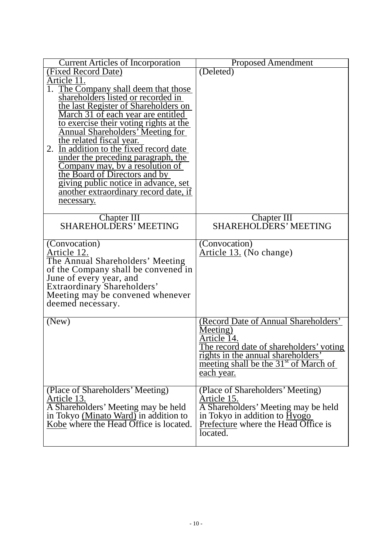| <b>Current Articles of Incorporation</b>                                        | <b>Proposed Amendment</b>                                            |
|---------------------------------------------------------------------------------|----------------------------------------------------------------------|
| (Fixed Record Date)                                                             | (Deleted)                                                            |
| Article 11.                                                                     |                                                                      |
| The Company shall deem that those                                               |                                                                      |
| shareholders listed or recorded in                                              |                                                                      |
| the last Register of Shareholders on<br>March 31 of each year are entitled      |                                                                      |
| to exercise their voting rights at the                                          |                                                                      |
| <b>Annual Shareholders' Meeting for</b>                                         |                                                                      |
| the related fiscal year.                                                        |                                                                      |
| 2. In addition to the fixed record date                                         |                                                                      |
| under the preceding paragraph, the                                              |                                                                      |
| Company may, by a resolution of<br>the Board of Directors and by                |                                                                      |
|                                                                                 |                                                                      |
| giving public notice in advance, set                                            |                                                                      |
| another extraordinary record date, if<br>necessary.                             |                                                                      |
|                                                                                 |                                                                      |
| Chapter III<br>SHAREHOLDERS' MEETING                                            | Chapter III                                                          |
|                                                                                 | <b>SHAREHOLDERS' MEETING</b>                                         |
|                                                                                 |                                                                      |
| (Convocation)                                                                   | (Convocation)                                                        |
| Article 12.<br>The Annual Shareholders' Meeting                                 | Article 13. (No change)                                              |
| of the Company shall be convened in                                             |                                                                      |
| June of every year, and                                                         |                                                                      |
| Extraordinary Shareholders'                                                     |                                                                      |
| Meeting may be convened whenever                                                |                                                                      |
| deemed necessary.                                                               |                                                                      |
|                                                                                 |                                                                      |
| (New)                                                                           | (Record Date of Annual Shareholders'                                 |
|                                                                                 | Meeting)<br>Article 14.                                              |
|                                                                                 | The record date of shareholders' voting                              |
|                                                                                 | rights in the annual shareholders'                                   |
|                                                                                 | meeting shall be the 31 <sup>st</sup> of March of                    |
|                                                                                 | each year.                                                           |
|                                                                                 |                                                                      |
| (Place of Shareholders' Meeting)                                                | (Place of Shareholders' Meeting)                                     |
| Article 13.                                                                     | Article 15.                                                          |
| A Shareholders' Meeting may be held                                             | A Shareholders' Meeting may be held<br>in Tokyo in addition to Hyogo |
| in Tokyo (Minato Ward) in addition to<br>Kobe where the Head Office is located. | Prefecture where the Head Office is                                  |
|                                                                                 | located.                                                             |
|                                                                                 |                                                                      |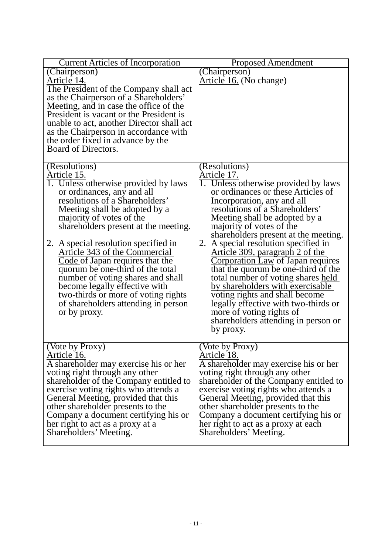| <b>Current Articles of Incorporation</b>                                                                                                                                                                                                                                                                                                                                                                                                                                                                                                                      | <b>Proposed Amendment</b>                                                                                                                                                                                                                                                                                                                                                                                                                                                                                                                                                                                                                                                                |
|---------------------------------------------------------------------------------------------------------------------------------------------------------------------------------------------------------------------------------------------------------------------------------------------------------------------------------------------------------------------------------------------------------------------------------------------------------------------------------------------------------------------------------------------------------------|------------------------------------------------------------------------------------------------------------------------------------------------------------------------------------------------------------------------------------------------------------------------------------------------------------------------------------------------------------------------------------------------------------------------------------------------------------------------------------------------------------------------------------------------------------------------------------------------------------------------------------------------------------------------------------------|
| (Chairperson)<br>Article 14.<br>The President of the Company shall act<br>as the Chairperson of a Shareholders'<br>Meeting, and in case the office of the<br>President is vacant or the President is<br>unable to act, another Director shall act<br>as the Chairperson in accordance with<br>the order fixed in advance by the<br>Board of Directors.                                                                                                                                                                                                        | (Chairperson)<br>Article 16. (No change)                                                                                                                                                                                                                                                                                                                                                                                                                                                                                                                                                                                                                                                 |
| (Resolutions)<br>Article 15.<br>1. Unless otherwise provided by laws<br>or ordinances, any and all<br>resolutions of a Shareholders'<br>Meeting shall be adopted by a<br>majority of votes of the<br>shareholders present at the meeting.<br>2. A special resolution specified in<br>Article 343 of the Commercial<br>Code of Japan requires that the<br>quorum be one-third of the total<br>number of voting shares and shall<br>become legally effective with<br>two-thirds or more of voting rights<br>of shareholders attending in person<br>or by proxy. | (Resolutions)<br>Article 17.<br>1. Unless otherwise provided by laws<br>or ordinances or these Articles of<br>Incorporation, any and all<br>resolutions of a Shareholders'<br>Meeting shall be adopted by a<br>majority of votes of the<br>shareholders present at the meeting.<br>2. A special resolution specified in<br><u>Article 309, paragraph 2 of the</u><br><b>Corporation Law of Japan requires</b><br>that the quorum be one-third of the<br>total number of voting shares held<br>by shareholders with exercisable<br>voting rights and shall become<br>legally effective with two-thirds or<br>more of voting rights of<br>shareholders attending in person or<br>by proxy. |
| (Vote by Proxy)<br>Article 16.<br>A shareholder may exercise his or her<br>voting right through any other<br>shareholder of the Company entitled to<br>exercise voting rights who attends a<br>General Meeting, provided that this<br>other shareholder presents to the<br>Company a document certifying his or<br>her right to act as a proxy at a<br>Shareholders' Meeting.                                                                                                                                                                                 | (Vote by Proxy)<br>Article 18.<br>A shareholder may exercise his or her<br>voting right through any other<br>shareholder of the Company entitled to<br>exercise voting rights who attends a<br>General Meeting, provided that this<br>other shareholder presents to the<br>Company a document certifying his or<br>her right to act as a proxy at each<br>Shareholders' Meeting.                                                                                                                                                                                                                                                                                                         |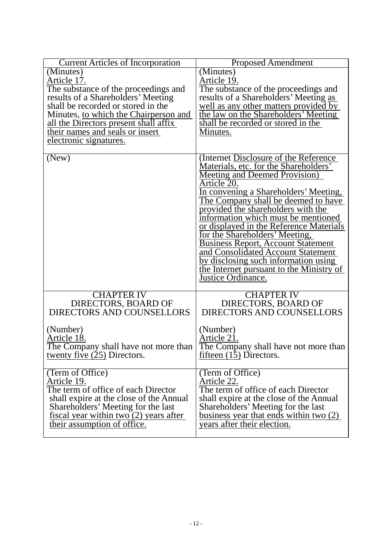| <b>Current Articles of Incorporation</b>                                   | <b>Proposed Amendment</b>                                                     |
|----------------------------------------------------------------------------|-------------------------------------------------------------------------------|
| (Minutes)                                                                  | (Minutes)                                                                     |
| Article 17.                                                                | <u>Article 19.</u>                                                            |
| The substance of the proceedings and<br>results of a Shareholders' Meeting | The substance of the proceedings and<br>results of a Shareholders' Meeting as |
|                                                                            |                                                                               |
| shall be recorded or stored in the                                         |                                                                               |
| Minutes, to which the Chairperson and                                      | well as any other matters provided by<br>the law on the Shareholders' Meeting |
| <u>all the Directors present shall affix</u>                               | shall be recorded or stored in the                                            |
| their names and seals or insert                                            | Minutes.                                                                      |
| <u>electronic signatures.</u>                                              |                                                                               |
|                                                                            |                                                                               |
| (New)                                                                      | (Internet Disclosure of the Reference)                                        |
|                                                                            | Materials, etc. for the Shareholders'                                         |
|                                                                            | Meeting and Deemed Provision)                                                 |
|                                                                            | Article 20.                                                                   |
|                                                                            | In convening a Shareholders' Meeting,                                         |
|                                                                            | The Company shall be deemed to have                                           |
|                                                                            | provided the shareholders with the                                            |
|                                                                            | information which must be mentioned                                           |
|                                                                            | or displayed in the Reference Materials                                       |
|                                                                            | for the Shareholders' Meeting,                                                |
|                                                                            | <b>Business Report, Account Statement</b>                                     |
|                                                                            | and Consolidated Account Statement                                            |
|                                                                            | by disclosing such information using                                          |
|                                                                            | the Internet pursuant to the Ministry of                                      |
|                                                                            | Justice Ordinance.                                                            |
|                                                                            |                                                                               |
| <b>CHAPTER IV</b>                                                          | <b>CHAPTER IV</b>                                                             |
| DIRECTORS, BOARD OF                                                        | DIRECTORS, BOARD OF                                                           |
| <b>DIRECTORS AND COUNSELLORS</b>                                           | <b>DIRECTORS AND COUNSELLORS</b>                                              |
|                                                                            |                                                                               |
| (Number)                                                                   | (Number)                                                                      |
| Article 18.                                                                | Article 21.                                                                   |
| The Company shall have not more than                                       | The Company shall have not more than                                          |
| twenty five $(25)$ Directors.                                              | fifteen $(15)$ Directors.                                                     |
|                                                                            |                                                                               |
| (Term of Office)                                                           | (Term of Office)                                                              |
| Article 19.                                                                | Article 22.                                                                   |
| The term of office of each Director                                        | The term of office of each Director                                           |
| shall expire at the close of the Annual                                    | shall expire at the close of the Annual                                       |
| Shareholders' Meeting for the last                                         | Shareholders' Meeting for the last                                            |
| fiscal year within $two(2)$ years after                                    | business year that ends within two (2)                                        |
| their assumption of office.                                                | years after their election.                                                   |
|                                                                            |                                                                               |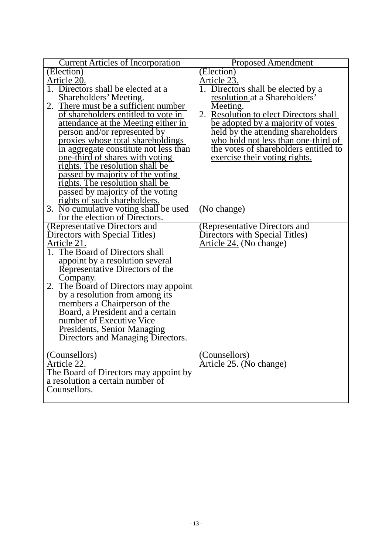| <b>Current Articles of Incorporation</b>         | <b>Proposed Amendment</b>              |
|--------------------------------------------------|----------------------------------------|
| (Election)                                       | (Election)                             |
| Article 20.                                      | Article 23.                            |
| 1. Directors shall be elected at a               | Directors shall be elected by a        |
| Shareholders' Meeting.                           | resolution at a Shareholders'          |
| 2. There must be a sufficient number             | Meeting.                               |
| of shareholders entitled to vote in              | 2. Resolution to elect Directors shall |
| attendance at the Meeting either in              | be adopted by a majority of votes      |
| person and/or represented by                     | held by the attending shareholders     |
| proxies whose total shareholdings                | who hold not less than one-third of    |
| in aggregate constitute not less than            | the votes of shareholders entitled to  |
| <u>one-third of shares with voting</u>           | exercise their voting rights.          |
| rights. The resolution shall be                  |                                        |
| passed by majority of the voting                 |                                        |
| rights. The resolution shall be                  |                                        |
| passed by majority of the voting                 |                                        |
| rights of such shareholders.                     |                                        |
| 3. No cumulative voting shall be used            | (No change)                            |
| for the election of Directors.                   |                                        |
| (Representative Directors and                    | (Representative Directors and          |
| Directors with Special Titles)                   | Directors with Special Titles)         |
| Article 21.                                      | Article 24. (No change)                |
| 1. The Board of Directors shall                  |                                        |
| appoint by a resolution several                  |                                        |
| Representative Directors of the                  |                                        |
| Company.                                         |                                        |
| 2. The Board of Directors may appoint            |                                        |
| by a resolution from among its                   |                                        |
| members a Chairperson of the                     |                                        |
| Board, a President and a certain                 |                                        |
| number of Executive Vice                         |                                        |
| Presidents, Senior Managing                      |                                        |
| Directors and Managing Directors.                |                                        |
|                                                  |                                        |
| (Counsellors)                                    | (Counsellors)                          |
| Article 22.                                      | Article 25. (No change)                |
| The Board of Directors may appoint by            |                                        |
| a resolution a certain number of<br>Counsellors. |                                        |
|                                                  |                                        |
|                                                  |                                        |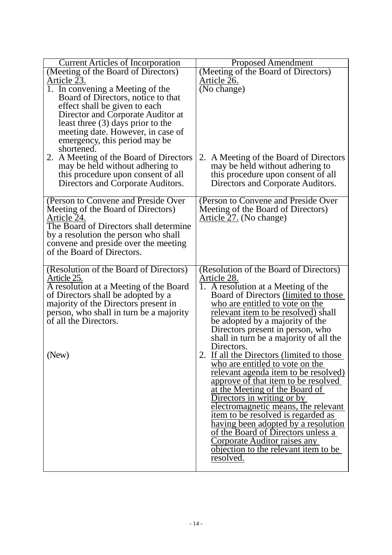| <b>Current Articles of Incorporation</b>                                     | <b>Proposed Amendment</b>                                                          |
|------------------------------------------------------------------------------|------------------------------------------------------------------------------------|
| (Meeting of the Board of Directors)                                          | (Meeting of the Board of Directors)                                                |
| Article 23.                                                                  | Article 26.                                                                        |
| $\overline{1}$ . In convening a Meeting of the                               | (No change)                                                                        |
| Board of Directors, notice to that                                           |                                                                                    |
| effect shall be given to each                                                |                                                                                    |
| Director and Corporate Auditor at                                            |                                                                                    |
| least three (3) days prior to the                                            |                                                                                    |
| meeting date. However, in case of                                            |                                                                                    |
| emergency, this period may be                                                |                                                                                    |
| shortened.                                                                   |                                                                                    |
| 2. A Meeting of the Board of Directors                                       | 2. A Meeting of the Board of Directors                                             |
| may be held without adhering to                                              | may be held without adhering to                                                    |
| this procedure upon consent of all                                           | this procedure upon consent of all                                                 |
| Directors and Corporate Auditors.                                            | Directors and Corporate Auditors.                                                  |
| (Person to Convene and Preside Over                                          | (Person to Convene and Preside Over)                                               |
| Meeting of the Board of Directors)                                           | Meeting of the Board of Directors)                                                 |
| Article 24.                                                                  | Article 27. (No change)                                                            |
| The Board of Directors shall determine                                       |                                                                                    |
| by a resolution the person who shall                                         |                                                                                    |
| convene and preside over the meeting                                         |                                                                                    |
| of the Board of Directors.                                                   |                                                                                    |
|                                                                              |                                                                                    |
| (Resolution of the Board of Directors)                                       | (Resolution of the Board of Directors)                                             |
| Article 25.                                                                  | Article 28.                                                                        |
| A resolution at a Meeting of the Board<br>of Directors shall be adopted by a | 1. A resolution at a Meeting of the<br>Board of Directors (limited to those        |
| majority of the Directors present in                                         | who are entitled to vote on the                                                    |
| person, who shall in turn be a majority                                      | relevant item to be resolved) shall                                                |
| of all the Directors.                                                        | be adopted by a majority of the                                                    |
|                                                                              | Directors present in person, who                                                   |
|                                                                              | shall in turn be a majority of all the                                             |
|                                                                              | Directors.                                                                         |
| (New)                                                                        | 2. If all the Directors (limited to those                                          |
|                                                                              | who are entitled to vote on the                                                    |
|                                                                              | relevant agenda item to be resolved)                                               |
|                                                                              | approve of that item to be resolved                                                |
|                                                                              | at the Meeting of the Board of                                                     |
|                                                                              | Directors in writing or by                                                         |
|                                                                              | electromagnetic means, the relevant                                                |
|                                                                              | item to be resolved is regarded as                                                 |
|                                                                              | <u>having been adopted by a resolution</u>                                         |
|                                                                              | of the Board of Directors unless a                                                 |
|                                                                              | <u>Corporate Auditor raises any</u><br><u>objection to the relevant item to be</u> |
|                                                                              | resolved.                                                                          |
|                                                                              |                                                                                    |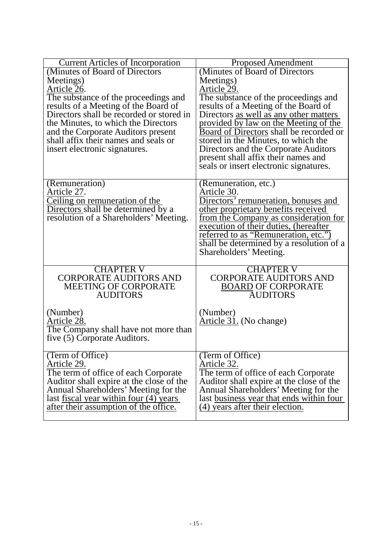| <b>Current Articles of Incorporation</b>      | <b>Proposed Amendment</b>                                          |
|-----------------------------------------------|--------------------------------------------------------------------|
| (Minutes of Board of Directors                | (Minutes of Board of Directors                                     |
| Meetings)                                     | Meetings)                                                          |
| Article 26.                                   | Article 29.                                                        |
| The substance of the proceedings and          | The substance of the proceedings and                               |
| results of a Meeting of the Board of          | results of a Meeting of the Board of                               |
| Directors shall be recorded or stored in      | Directors <u>as well as any other matters</u>                      |
| the Minutes, to which the Directors           | provided by law on the Meeting of the                              |
| and the Corporate Auditors present            | Board of Directors shall be recorded or                            |
| shall affix their names and seals or          | stored in the Minutes, to which the                                |
| insert electronic signatures.                 | Directors and the Corporate Auditors                               |
|                                               | present shall affix their names and                                |
|                                               | seals or insert electronic signatures.                             |
|                                               |                                                                    |
| (Remuneration)                                | (Remuneration, etc.)                                               |
| Article 27.                                   | Article 30.                                                        |
| Ceiling on remuneration of the                | Directors' remuneration, bonuses and                               |
| Directors shall be determined by a            | other proprietary benefits received                                |
| resolution of a Shareholders' Meeting.        | from the Company as consideration for                              |
|                                               | execution of their duties, (hereafter                              |
|                                               | referred to as "Remuneration, etc.")                               |
|                                               | shall be determined by a resolution of a<br>Shareholders' Meeting. |
|                                               |                                                                    |
| <b>CHAPTER V</b>                              | <b>CHAPTER V</b>                                                   |
| <b>CORPORATE AUDITORS AND</b>                 | <b>CORPORATE AUDITORS AND</b>                                      |
| <b>MEETING OF CORPORATE</b>                   | <b>BOARD OF CORPORATE</b>                                          |
| <b>AUDITORS</b>                               | <b>AUDITORS</b>                                                    |
|                                               |                                                                    |
| (Number)                                      | (Number)                                                           |
| Article 28.                                   | Article 31. (No change)                                            |
| The Company shall have not more than          |                                                                    |
| five (5) Corporate Auditors.                  |                                                                    |
|                                               |                                                                    |
| (Term of Office)<br>Article 29.               | (Term of Office)<br>Article 32.                                    |
| The term of office of each Corporate          | The term of office of each Corporate                               |
| Auditor shall expire at the close of the      | Auditor shall expire at the close of the                           |
| Annual Shareholders' Meeting for the          | Annual Shareholders' Meeting for the                               |
| last <u>fiscal year within four</u> (4) years | last business year that ends within four                           |
| after their assumption of the office.         | (4) years after their election.                                    |
|                                               |                                                                    |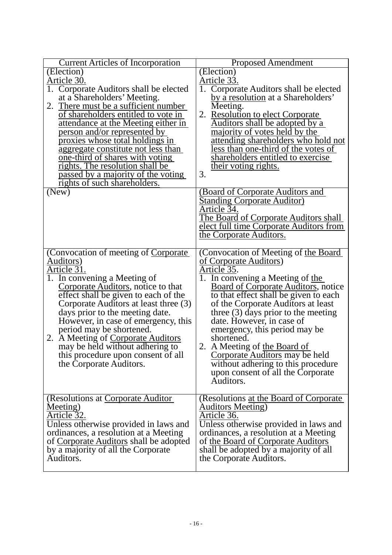| <b>Current Articles of Incorporation</b>                                        | <b>Proposed Amendment</b>                                                     |
|---------------------------------------------------------------------------------|-------------------------------------------------------------------------------|
| $\overline{E}$ lection)                                                         | (Election)                                                                    |
| Article 30.                                                                     | Article 33.                                                                   |
| 1. Corporate Auditors shall be elected                                          | 1.<br>Corporate Auditors shall be elected                                     |
| at a Shareholders' Meeting.                                                     | by a resolution at a Shareholders'                                            |
| 2. There must be a sufficient number                                            | Meeting.                                                                      |
| of shareholders entitled to vote in                                             | 2. Resolution to elect Corporate                                              |
| <u>attendance at the Meeting either in</u><br>person and/or represented by      | <u>Auditors shall be adopted by a</u><br><u>majority of votes held by the</u> |
| <u>proxies whose total holdings in</u>                                          | attending shareholders who hold not                                           |
| aggregate constitute not less than                                              | less than one-third of the votes of                                           |
| <u>one-third of shares with voting</u>                                          | shareholders entitled to exercise                                             |
| rights. The resolution shall be                                                 | their voting rights.                                                          |
| passed by a majority of the voting                                              | 3.                                                                            |
| rights of such shareholders.                                                    |                                                                               |
| (New)                                                                           | (Board of Corporate Auditors and                                              |
|                                                                                 | <b>Standing Corporate Auditor)</b>                                            |
|                                                                                 | Article 34.                                                                   |
|                                                                                 | The Board of Corporate Auditors shall                                         |
|                                                                                 | elect full time Corporate Auditors from<br>the Corporate Auditors.            |
|                                                                                 |                                                                               |
| (Convocation of meeting of Corporate)                                           | (Convocation of Meeting of the Board                                          |
| Auditors)                                                                       | of Corporate Auditors)                                                        |
| <u> Article 31.</u>                                                             | Article 35.                                                                   |
| 1. In convening a Meeting of                                                    | 1. In convening a Meeting of the                                              |
| Corporate Auditors, notice to that                                              | <b>Board of Corporate Auditors, notice</b>                                    |
| effect shall be given to each of the                                            | to that effect shall be given to each                                         |
| Corporate Auditors at least three (3)                                           | of the Corporate Auditors at least                                            |
| days prior to the meeting date.                                                 | three $(3)$ days prior to the meeting                                         |
| However, in case of emergency, this<br>period may be shortened.                 | date. However, in case of                                                     |
| 2. A Meeting of Corporate Auditors                                              | emergency, this period may be<br>shortened.                                   |
| may be held without adhering to                                                 | 2. A Meeting of the Board of                                                  |
| this procedure upon consent of all                                              | Corporate Auditors may be held                                                |
| the Corporate Auditors.                                                         | without adhering to this procedure                                            |
|                                                                                 | upon consent of all the Corporate                                             |
|                                                                                 | Auditors.                                                                     |
|                                                                                 |                                                                               |
| (Resolutions at Corporate Auditor                                               | (Resolutions <u>at the Board of Corporate</u>                                 |
| Meeting)                                                                        | <b>Auditors Meeting</b> )                                                     |
| Article 32.                                                                     | Article 36.                                                                   |
| Unless otherwise provided in laws and                                           | Unless otherwise provided in laws and                                         |
| ordinances, a resolution at a Meeting<br>of Corporate Auditors shall be adopted | ordinances, a resolution at a Meeting<br>of the Board of Corporate Auditors   |
| by a majority of all the Corporate                                              | shall be adopted by a majority of all                                         |
| Auditors.                                                                       | the Corporate Auditors.                                                       |
|                                                                                 |                                                                               |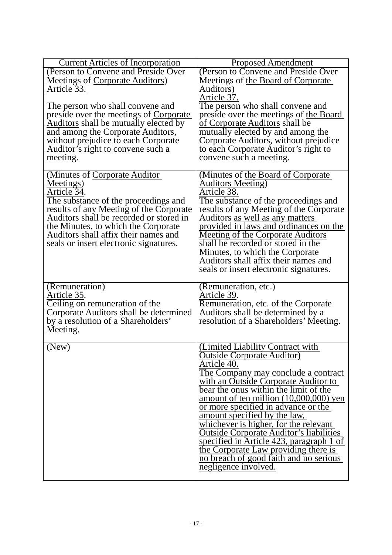| <b>Current Articles of Incorporation</b> | <b>Proposed Amendment</b>                      |
|------------------------------------------|------------------------------------------------|
| (Person to Convene and Preside Over      | (Person to Convene and Preside Over            |
| Meetings of Corporate Auditors)          | Meetings of the Board of Corporate             |
| Article 33.                              | <u>Auditors</u> )                              |
|                                          | Article 37.                                    |
| The person who shall convene and         | The person who shall convene and               |
| preside over the meetings of Corporate   | preside over the meetings of the Board         |
| Auditors shall be mutually elected by    | of Corporate Auditors shall be                 |
| and among the Corporate Auditors,        | mutually elected by and among the              |
| without prejudice to each Corporate      | Corporate Auditors, without prejudice          |
| Auditor's right to convene such a        | to each Corporate Auditor's right to           |
| meeting.                                 | convene such a meeting.                        |
|                                          |                                                |
| (Minutes of Corporate Auditor            | (Minutes of the Board of Corporate)            |
| Meetings)                                | <b>Auditors Meeting</b> )                      |
| Article 34.                              | Article 38.                                    |
| The substance of the proceedings and     | The substance of the proceedings and           |
| results of any Meeting of the Corporate  | results of any Meeting of the Corporate        |
| Auditors shall be recorded or stored in  | Auditors as well as any matters                |
| the Minutes, to which the Corporate      | provided in laws and ordinances on the         |
| Auditors shall affix their names and     | <b>Meeting of the Corporate Auditors</b>       |
| seals or insert electronic signatures.   | shall be recorded or stored in the             |
|                                          | Minutes, to which the Corporate                |
|                                          | Auditors shall affix their names and           |
|                                          | seals or insert electronic signatures.         |
| (Remuneration)                           |                                                |
| Article 35.                              | (Remuneration, etc.)<br>Article 39.            |
| Ceiling on remuneration of the           | Remuneration, etc. of the Corporate            |
| Corporate Auditors shall be determined   | Auditors shall be determined by a              |
| by a resolution of a Shareholders'       | resolution of a Shareholders' Meeting.         |
| Meeting.                                 |                                                |
|                                          |                                                |
| (New)                                    | (Limited Liability Contract with               |
|                                          | <b>Outside Corporate Auditor</b> )             |
|                                          | Article 40.                                    |
|                                          | The Company may conclude a contract            |
|                                          | with an Outside Corporate Auditor to           |
|                                          | bear the onus within the limit of the          |
|                                          | amount of ten million $(10,000,000)$ yen       |
|                                          | or more specified in advance or the            |
|                                          | amount specified by the law,                   |
|                                          | whichever is higher, for the relevant          |
|                                          | <b>Outside Corporate Auditor's liabilities</b> |
|                                          | specified in Article 423, paragraph 1 of       |
|                                          | the Corporate Law providing there is           |
|                                          | no breach of good faith and no serious         |
|                                          | negligence involved.                           |
|                                          |                                                |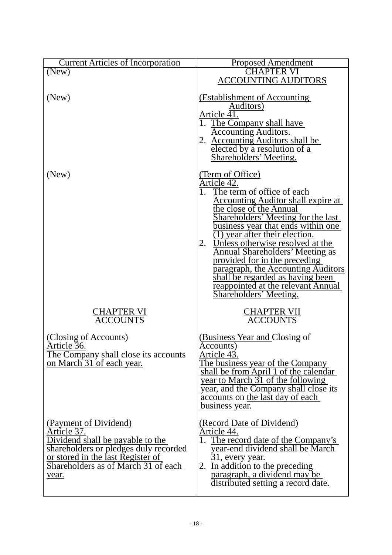| <b>Current Articles of Incorporation</b>                                                                                                                                                               | <b>Proposed Amendment</b>                                                                                                                                                                                                                                                                                                                                                                                                                                                                                                        |
|--------------------------------------------------------------------------------------------------------------------------------------------------------------------------------------------------------|----------------------------------------------------------------------------------------------------------------------------------------------------------------------------------------------------------------------------------------------------------------------------------------------------------------------------------------------------------------------------------------------------------------------------------------------------------------------------------------------------------------------------------|
| (New)                                                                                                                                                                                                  | CHAPTER VI<br><b>ACCOUNTING AUDITORS</b>                                                                                                                                                                                                                                                                                                                                                                                                                                                                                         |
| (New)                                                                                                                                                                                                  | <b>(Establishment of Accounting</b><br>Auditors)<br>Article $4\overline{1}$ .<br>1. The Company shall have<br><b>Accounting Auditors.</b><br>2. Accounting Auditors shall be<br>elected by a resolution of a<br><b>Shareholders' Meeting.</b>                                                                                                                                                                                                                                                                                    |
| (New)                                                                                                                                                                                                  | <u>(Term of Office)</u><br>Article 42.<br>The term of office of each<br><b>Accounting Auditor shall expire at</b><br>the close of the Annual<br><b>Shareholders' Meeting for the last</b><br>business year that ends within one<br>(1) year after their election.<br>Unless otherwise resolved at the<br>2.<br><b>Annual Shareholders' Meeting as</b><br>provided for in the preceding<br>paragraph, the Accounting Auditors<br>shall be regarded as having been<br>reappointed at the relevant Annual<br>Shareholders' Meeting. |
| <u>CHAPTER VI</u><br><b>ACCOUNTS</b>                                                                                                                                                                   | <b>CHAPTER VII</b><br><b>ACCOUNTS</b>                                                                                                                                                                                                                                                                                                                                                                                                                                                                                            |
| (Closing of Accounts)<br><u>Article 36.</u><br>The Company shall close its accounts<br>on March 31 of each year.                                                                                       | (Business Year and Closing of<br>Accounts)<br>Article 43.<br>The business year of the Company<br>shall be from April 1 of the calendar<br>year to March 31 of the following<br>year, and the Company shall close its<br>accounts on the last day of each<br>business year.                                                                                                                                                                                                                                                       |
| (Payment of Dividend)<br>Article 37.<br>Dividend shall be payable to the<br>shareholders or pledges duly recorded<br>or stored in the last Register of<br>Shareholders as of March 31 of each<br>year. | (Record Date of Dividend)<br>Article 44.<br>The record date of the Company's<br>1.<br>year-end dividend shall be March<br>31, every year.<br>2. In addition to the preceding<br>paragraph, a dividend may be<br>distributed setting a record date.                                                                                                                                                                                                                                                                               |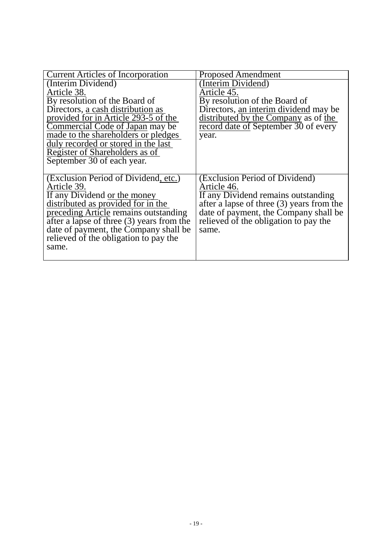| <b>Current Articles of Incorporation</b>                      | <b>Proposed Amendment</b>                 |
|---------------------------------------------------------------|-------------------------------------------|
| (Interim Dividend)                                            | Interim Dividend)                         |
| Article 38.                                                   | Article 45.                               |
| By resolution of the Board of                                 | By resolution of the Board of             |
| Directors, a cash distribution as                             | Directors, an interim dividend may be     |
| provided for in Article 293-5 of the                          | distributed by the Company as of the      |
| Commercial Code of Japan may be                               | record date of September 30 of every      |
| made to the shareholders or pledges                           | year.                                     |
| duly recorded or stored in the last                           |                                           |
| Register of Shareholders as of                                |                                           |
| September 30 of each year.                                    |                                           |
|                                                               |                                           |
| (Exclusion Period of Dividend, etc.)                          | (Exclusion Period of Dividend)            |
| Article 39.                                                   | Article 46.                               |
| If any Dividend or the money                                  | If any Dividend remains outstanding       |
| distributed as provided for in the                            | after a lapse of three (3) years from the |
| preceding Article remains outstanding                         | date of payment, the Company shall be     |
| $\overline{\text{after a lapse of three (3) years from the}}$ | relieved of the obligation to pay the     |
| date of payment, the Company shall be                         | same.                                     |
| relieved of the obligation to pay the                         |                                           |
| same.                                                         |                                           |
|                                                               |                                           |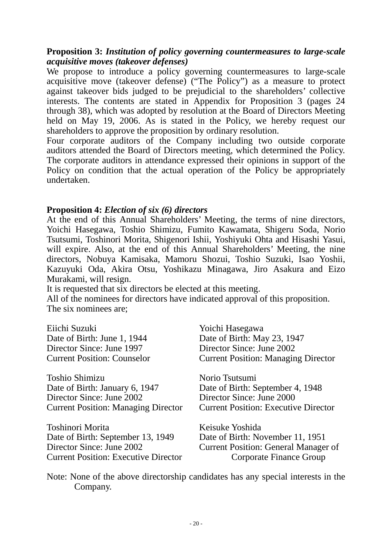#### **Proposition 3:** *Institution of policy governing countermeasures to large-scale acquisitive moves (takeover defenses)*

We propose to introduce a policy governing countermeasures to large-scale acquisitive move (takeover defense) ("The Policy") as a measure to protect against takeover bids judged to be prejudicial to the shareholders' collective interests. The contents are stated in Appendix for Proposition 3 (pages 24 through 38), which was adopted by resolution at the Board of Directors Meeting held on May 19, 2006. As is stated in the Policy, we hereby request our shareholders to approve the proposition by ordinary resolution.

Four corporate auditors of the Company including two outside corporate auditors attended the Board of Directors meeting, which determined the Policy. The corporate auditors in attendance expressed their opinions in support of the Policy on condition that the actual operation of the Policy be appropriately undertaken.

#### **Proposition 4:** *Election of six (6) directors*

At the end of this Annual Shareholders' Meeting, the terms of nine directors, Yoichi Hasegawa, Toshio Shimizu, Fumito Kawamata, Shigeru Soda, Norio Tsutsumi, Toshinori Morita, Shigenori Ishii, Yoshiyuki Ohta and Hisashi Yasui, will expire. Also, at the end of this Annual Shareholders' Meeting, the nine directors, Nobuya Kamisaka, Mamoru Shozui, Toshio Suzuki, Isao Yoshii, Kazuyuki Oda, Akira Otsu, Yoshikazu Minagawa, Jiro Asakura and Eizo Murakami, will resign.

It is requested that six directors be elected at this meeting.

All of the nominees for directors have indicated approval of this proposition. The six nominees are;

| Eiichi Suzuki                               | Yoichi Hasegawa                             |
|---------------------------------------------|---------------------------------------------|
| Date of Birth: June 1, 1944                 | Date of Birth: May 23, 1947                 |
| Director Since: June 1997                   | Director Since: June 2002                   |
| <b>Current Position: Counselor</b>          | <b>Current Position: Managing Director</b>  |
| Toshio Shimizu                              | Norio Tsutsumi                              |
| Date of Birth: January 6, 1947              | Date of Birth: September 4, 1948            |
| Director Since: June 2002                   | Director Since: June 2000                   |
| <b>Current Position: Managing Director</b>  | <b>Current Position: Executive Director</b> |
| Toshinori Morita                            | Keisuke Yoshida                             |
| Date of Birth: September 13, 1949           | Date of Birth: November 11, 1951            |
| Director Since: June 2002                   | <b>Current Position: General Manager of</b> |
| <b>Current Position: Executive Director</b> | Corporate Finance Group                     |

Note: None of the above directorship candidates has any special interests in the Company.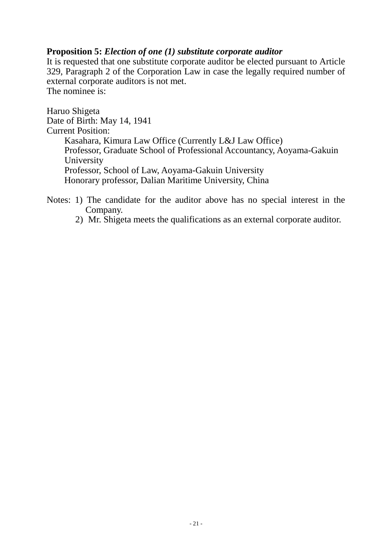### **Proposition 5:** *Election of one (1) substitute corporate auditor*

It is requested that one substitute corporate auditor be elected pursuant to Article 329, Paragraph 2 of the Corporation Law in case the legally required number of external corporate auditors is not met. The nominee is:

Haruo Shigeta Date of Birth: May 14, 1941 Current Position: Kasahara, Kimura Law Office (Currently L&J Law Office) Professor, Graduate School of Professional Accountancy, Aoyama-Gakuin University Professor, School of Law, Aoyama-Gakuin University Honorary professor, Dalian Maritime University, China

Notes: 1) The candidate for the auditor above has no special interest in the Company.

2) Mr. Shigeta meets the qualifications as an external corporate auditor.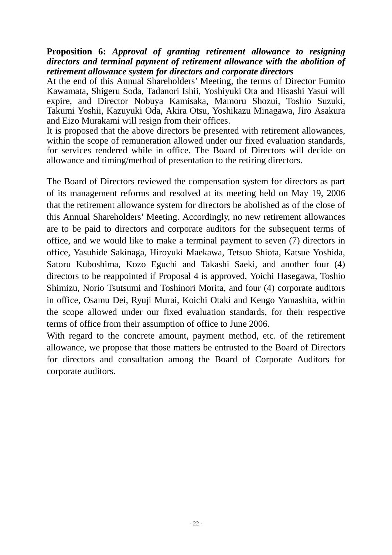#### **Proposition 6:** *Approval of granting retirement allowance to resigning directors and terminal payment of retirement allowance with the abolition of retirement allowance system for directors and corporate directors*

At the end of this Annual Shareholders' Meeting, the terms of Director Fumito Kawamata, Shigeru Soda, Tadanori Ishii, Yoshiyuki Ota and Hisashi Yasui will expire, and Director Nobuya Kamisaka, Mamoru Shozui, Toshio Suzuki, Takumi Yoshii, Kazuyuki Oda, Akira Otsu, Yoshikazu Minagawa, Jiro Asakura and Eizo Murakami will resign from their offices.

It is proposed that the above directors be presented with retirement allowances, within the scope of remuneration allowed under our fixed evaluation standards, for services rendered while in office. The Board of Directors will decide on allowance and timing/method of presentation to the retiring directors.

The Board of Directors reviewed the compensation system for directors as part of its management reforms and resolved at its meeting held on May 19, 2006 that the retirement allowance system for directors be abolished as of the close of this Annual Shareholders' Meeting. Accordingly, no new retirement allowances are to be paid to directors and corporate auditors for the subsequent terms of office, and we would like to make a terminal payment to seven (7) directors in office, Yasuhide Sakinaga, Hiroyuki Maekawa, Tetsuo Shiota, Katsue Yoshida, Satoru Kuboshima, Kozo Eguchi and Takashi Saeki, and another four (4) directors to be reappointed if Proposal 4 is approved, Yoichi Hasegawa, Toshio Shimizu, Norio Tsutsumi and Toshinori Morita, and four (4) corporate auditors in office, Osamu Dei, Ryuji Murai, Koichi Otaki and Kengo Yamashita, within the scope allowed under our fixed evaluation standards, for their respective terms of office from their assumption of office to June 2006.

With regard to the concrete amount, payment method, etc. of the retirement allowance, we propose that those matters be entrusted to the Board of Directors for directors and consultation among the Board of Corporate Auditors for corporate auditors.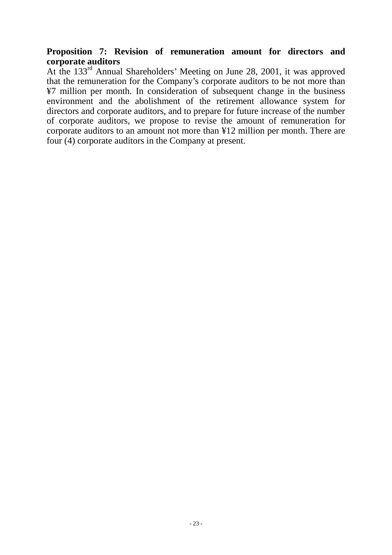#### **Proposition 7: Revision of remuneration amount for directors and corporate auditors**

At the 133rd Annual Shareholders' Meeting on June 28, 2001, it was approved that the remuneration for the Company's corporate auditors to be not more than ¥7 million per month. In consideration of subsequent change in the business environment and the abolishment of the retirement allowance system for directors and corporate auditors, and to prepare for future increase of the number of corporate auditors, we propose to revise the amount of remuneration for corporate auditors to an amount not more than ¥12 million per month. There are four (4) corporate auditors in the Company at present.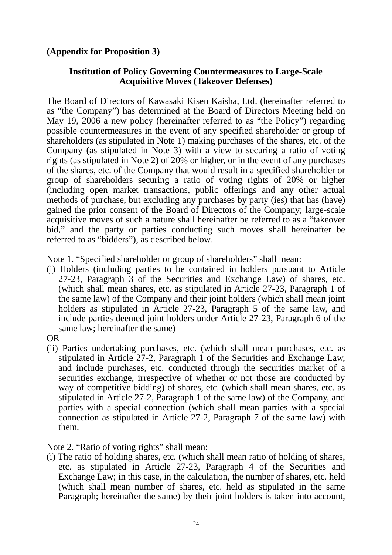# **(Appendix for Proposition 3)**

#### **Institution of Policy Governing Countermeasures to Large-Scale Acquisitive Moves (Takeover Defenses)**

The Board of Directors of Kawasaki Kisen Kaisha, Ltd. (hereinafter referred to as "the Company") has determined at the Board of Directors Meeting held on May 19, 2006 a new policy (hereinafter referred to as "the Policy") regarding possible countermeasures in the event of any specified shareholder or group of shareholders (as stipulated in Note 1) making purchases of the shares, etc. of the Company (as stipulated in Note 3) with a view to securing a ratio of voting rights (as stipulated in Note 2) of 20% or higher, or in the event of any purchases of the shares, etc. of the Company that would result in a specified shareholder or group of shareholders securing a ratio of voting rights of 20% or higher (including open market transactions, public offerings and any other actual methods of purchase, but excluding any purchases by party (ies) that has (have) gained the prior consent of the Board of Directors of the Company; large-scale acquisitive moves of such a nature shall hereinafter be referred to as a "takeover bid," and the party or parties conducting such moves shall hereinafter be referred to as "bidders"), as described below.

Note 1. "Specified shareholder or group of shareholders" shall mean:

(i) Holders (including parties to be contained in holders pursuant to Article 27-23, Paragraph 3 of the Securities and Exchange Law) of shares, etc. (which shall mean shares, etc. as stipulated in Article 27-23, Paragraph 1 of the same law) of the Company and their joint holders (which shall mean joint holders as stipulated in Article 27-23, Paragraph 5 of the same law, and include parties deemed joint holders under Article 27-23, Paragraph 6 of the same law; hereinafter the same)

OR

(ii) Parties undertaking purchases, etc. (which shall mean purchases, etc. as stipulated in Article 27-2, Paragraph 1 of the Securities and Exchange Law, and include purchases, etc. conducted through the securities market of a securities exchange, irrespective of whether or not those are conducted by way of competitive bidding) of shares, etc. (which shall mean shares, etc. as stipulated in Article 27-2, Paragraph 1 of the same law) of the Company, and parties with a special connection (which shall mean parties with a special connection as stipulated in Article 27-2, Paragraph 7 of the same law) with them.

Note 2. "Ratio of voting rights" shall mean:

(i) The ratio of holding shares, etc. (which shall mean ratio of holding of shares, etc. as stipulated in Article 27-23, Paragraph 4 of the Securities and Exchange Law; in this case, in the calculation, the number of shares, etc. held (which shall mean number of shares, etc. held as stipulated in the same Paragraph; hereinafter the same) by their joint holders is taken into account,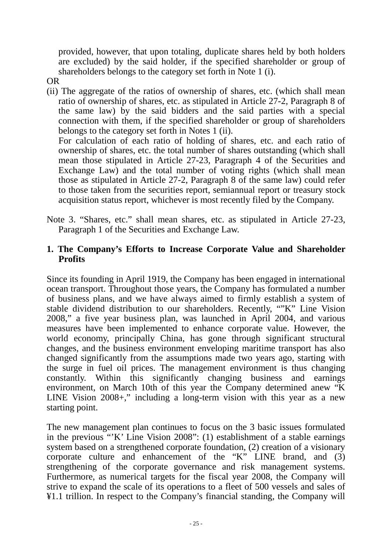provided, however, that upon totaling, duplicate shares held by both holders are excluded) by the said holder, if the specified shareholder or group of shareholders belongs to the category set forth in Note 1 (i).

- OR
- (ii) The aggregate of the ratios of ownership of shares, etc. (which shall mean ratio of ownership of shares, etc. as stipulated in Article 27-2, Paragraph 8 of the same law) by the said bidders and the said parties with a special connection with them, if the specified shareholder or group of shareholders belongs to the category set forth in Notes 1 (ii). For calculation of each ratio of holding of shares, etc. and each ratio of ownership of shares, etc. the total number of shares outstanding (which shall mean those stipulated in Article 27-23, Paragraph 4 of the Securities and Exchange Law) and the total number of voting rights (which shall mean those as stipulated in Article 27-2, Paragraph 8 of the same law) could refer

to those taken from the securities report, semiannual report or treasury stock acquisition status report, whichever is most recently filed by the Company.

Note 3. "Shares, etc." shall mean shares, etc. as stipulated in Article 27-23, Paragraph 1 of the Securities and Exchange Law.

# **1. The Company's Efforts to Increase Corporate Value and Shareholder Profits**

Since its founding in April 1919, the Company has been engaged in international ocean transport. Throughout those years, the Company has formulated a number of business plans, and we have always aimed to firmly establish a system of stable dividend distribution to our shareholders. Recently, ""K" Line Vision 2008," a five year business plan, was launched in April 2004, and various measures have been implemented to enhance corporate value. However, the world economy, principally China, has gone through significant structural changes, and the business environment enveloping maritime transport has also changed significantly from the assumptions made two years ago, starting with the surge in fuel oil prices. The management environment is thus changing constantly. Within this significantly changing business and earnings environment, on March 10th of this year the Company determined anew "K LINE Vision 2008+," including a long-term vision with this year as a new starting point.

The new management plan continues to focus on the 3 basic issues formulated in the previous "'K' Line Vision 2008": (1) establishment of a stable earnings system based on a strengthened corporate foundation, (2) creation of a visionary corporate culture and enhancement of the "K" LINE brand, and (3) strengthening of the corporate governance and risk management systems. Furthermore, as numerical targets for the fiscal year 2008, the Company will strive to expand the scale of its operations to a fleet of 500 vessels and sales of ¥1.1 trillion. In respect to the Company's financial standing, the Company will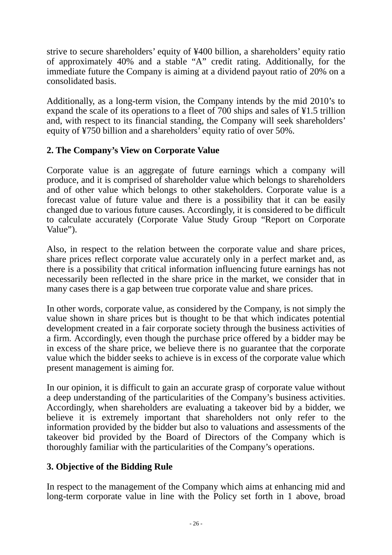strive to secure shareholders' equity of ¥400 billion, a shareholders' equity ratio of approximately 40% and a stable "A" credit rating. Additionally, for the immediate future the Company is aiming at a dividend payout ratio of 20% on a consolidated basis.

Additionally, as a long-term vision, the Company intends by the mid 2010's to expand the scale of its operations to a fleet of 700 ships and sales of ¥1.5 trillion and, with respect to its financial standing, the Company will seek shareholders' equity of ¥750 billion and a shareholders' equity ratio of over 50%.

# **2. The Company's View on Corporate Value**

Corporate value is an aggregate of future earnings which a company will produce, and it is comprised of shareholder value which belongs to shareholders and of other value which belongs to other stakeholders. Corporate value is a forecast value of future value and there is a possibility that it can be easily changed due to various future causes. Accordingly, it is considered to be difficult to calculate accurately (Corporate Value Study Group "Report on Corporate Value").

Also, in respect to the relation between the corporate value and share prices, share prices reflect corporate value accurately only in a perfect market and, as there is a possibility that critical information influencing future earnings has not necessarily been reflected in the share price in the market, we consider that in many cases there is a gap between true corporate value and share prices.

In other words, corporate value, as considered by the Company, is not simply the value shown in share prices but is thought to be that which indicates potential development created in a fair corporate society through the business activities of a firm. Accordingly, even though the purchase price offered by a bidder may be in excess of the share price, we believe there is no guarantee that the corporate value which the bidder seeks to achieve is in excess of the corporate value which present management is aiming for.

In our opinion, it is difficult to gain an accurate grasp of corporate value without a deep understanding of the particularities of the Company's business activities. Accordingly, when shareholders are evaluating a takeover bid by a bidder, we believe it is extremely important that shareholders not only refer to the information provided by the bidder but also to valuations and assessments of the takeover bid provided by the Board of Directors of the Company which is thoroughly familiar with the particularities of the Company's operations.

# **3. Objective of the Bidding Rule**

In respect to the management of the Company which aims at enhancing mid and long-term corporate value in line with the Policy set forth in 1 above, broad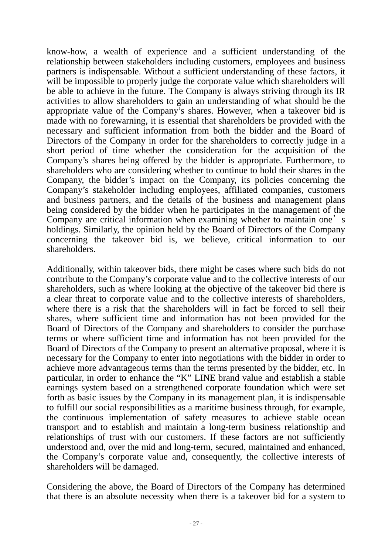know-how, a wealth of experience and a sufficient understanding of the relationship between stakeholders including customers, employees and business partners is indispensable. Without a sufficient understanding of these factors, it will be impossible to properly judge the corporate value which shareholders will be able to achieve in the future. The Company is always striving through its IR activities to allow shareholders to gain an understanding of what should be the appropriate value of the Company's shares. However, when a takeover bid is made with no forewarning, it is essential that shareholders be provided with the necessary and sufficient information from both the bidder and the Board of Directors of the Company in order for the shareholders to correctly judge in a short period of time whether the consideration for the acquisition of the Company's shares being offered by the bidder is appropriate. Furthermore, to shareholders who are considering whether to continue to hold their shares in the Company, the bidder's impact on the Company, its policies concerning the Company's stakeholder including employees, affiliated companies, customers and business partners, and the details of the business and management plans being considered by the bidder when he participates in the management of the Company are critical information when examining whether to maintain one's holdings. Similarly, the opinion held by the Board of Directors of the Company concerning the takeover bid is, we believe, critical information to our shareholders.

Additionally, within takeover bids, there might be cases where such bids do not contribute to the Company's corporate value and to the collective interests of our shareholders, such as where looking at the objective of the takeover bid there is a clear threat to corporate value and to the collective interests of shareholders, where there is a risk that the shareholders will in fact be forced to sell their shares, where sufficient time and information has not been provided for the Board of Directors of the Company and shareholders to consider the purchase terms or where sufficient time and information has not been provided for the Board of Directors of the Company to present an alternative proposal, where it is necessary for the Company to enter into negotiations with the bidder in order to achieve more advantageous terms than the terms presented by the bidder, etc. In particular, in order to enhance the "K" LINE brand value and establish a stable earnings system based on a strengthened corporate foundation which were set forth as basic issues by the Company in its management plan, it is indispensable to fulfill our social responsibilities as a maritime business through, for example, the continuous implementation of safety measures to achieve stable ocean transport and to establish and maintain a long-term business relationship and relationships of trust with our customers. If these factors are not sufficiently understood and, over the mid and long-term, secured, maintained and enhanced, the Company's corporate value and, consequently, the collective interests of shareholders will be damaged.

Considering the above, the Board of Directors of the Company has determined that there is an absolute necessity when there is a takeover bid for a system to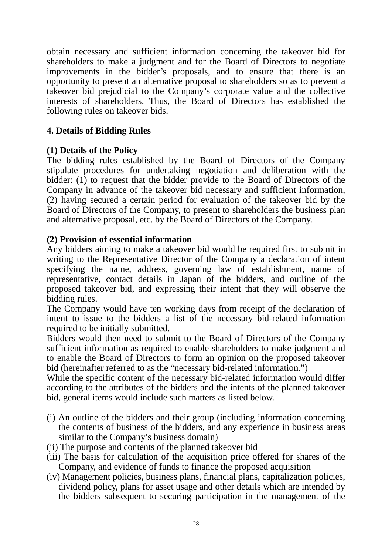obtain necessary and sufficient information concerning the takeover bid for shareholders to make a judgment and for the Board of Directors to negotiate improvements in the bidder's proposals, and to ensure that there is an opportunity to present an alternative proposal to shareholders so as to prevent a takeover bid prejudicial to the Company's corporate value and the collective interests of shareholders. Thus, the Board of Directors has established the following rules on takeover bids.

# **4. Details of Bidding Rules**

### **(1) Details of the Policy**

The bidding rules established by the Board of Directors of the Company stipulate procedures for undertaking negotiation and deliberation with the bidder: (1) to request that the bidder provide to the Board of Directors of the Company in advance of the takeover bid necessary and sufficient information, (2) having secured a certain period for evaluation of the takeover bid by the Board of Directors of the Company, to present to shareholders the business plan and alternative proposal, etc. by the Board of Directors of the Company.

# **(2) Provision of essential information**

Any bidders aiming to make a takeover bid would be required first to submit in writing to the Representative Director of the Company a declaration of intent specifying the name, address, governing law of establishment, name of representative, contact details in Japan of the bidders, and outline of the proposed takeover bid, and expressing their intent that they will observe the bidding rules.

The Company would have ten working days from receipt of the declaration of intent to issue to the bidders a list of the necessary bid-related information required to be initially submitted.

Bidders would then need to submit to the Board of Directors of the Company sufficient information as required to enable shareholders to make judgment and to enable the Board of Directors to form an opinion on the proposed takeover bid (hereinafter referred to as the "necessary bid-related information.")

While the specific content of the necessary bid-related information would differ according to the attributes of the bidders and the intents of the planned takeover bid, general items would include such matters as listed below.

- (i) An outline of the bidders and their group (including information concerning the contents of business of the bidders, and any experience in business areas similar to the Company's business domain)
- (ii) The purpose and contents of the planned takeover bid
- (iii) The basis for calculation of the acquisition price offered for shares of the Company, and evidence of funds to finance the proposed acquisition
- (iv) Management policies, business plans, financial plans, capitalization policies, dividend policy, plans for asset usage and other details which are intended by the bidders subsequent to securing participation in the management of the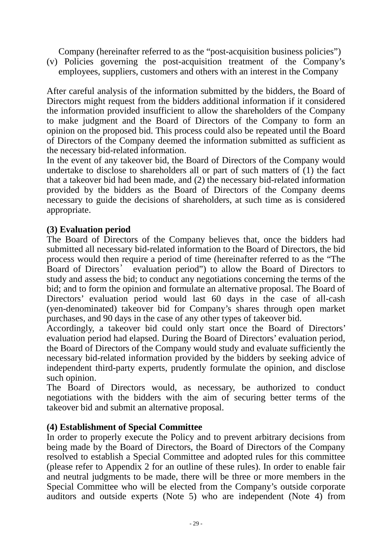Company (hereinafter referred to as the "post-acquisition business policies")

(v) Policies governing the post-acquisition treatment of the Company's employees, suppliers, customers and others with an interest in the Company

After careful analysis of the information submitted by the bidders, the Board of Directors might request from the bidders additional information if it considered the information provided insufficient to allow the shareholders of the Company to make judgment and the Board of Directors of the Company to form an opinion on the proposed bid. This process could also be repeated until the Board of Directors of the Company deemed the information submitted as sufficient as the necessary bid-related information.

In the event of any takeover bid, the Board of Directors of the Company would undertake to disclose to shareholders all or part of such matters of (1) the fact that a takeover bid had been made, and (2) the necessary bid-related information provided by the bidders as the Board of Directors of the Company deems necessary to guide the decisions of shareholders, at such time as is considered appropriate.

# **(3) Evaluation period**

The Board of Directors of the Company believes that, once the bidders had submitted all necessary bid-related information to the Board of Directors, the bid process would then require a period of time (hereinafter referred to as the "The Board of Directors' evaluation period") to allow the Board of Directors to study and assess the bid; to conduct any negotiations concerning the terms of the bid; and to form the opinion and formulate an alternative proposal. The Board of Directors' evaluation period would last 60 days in the case of all-cash (yen-denominated) takeover bid for Company's shares through open market purchases, and 90 days in the case of any other types of takeover bid.

Accordingly, a takeover bid could only start once the Board of Directors' evaluation period had elapsed. During the Board of Directors' evaluation period, the Board of Directors of the Company would study and evaluate sufficiently the necessary bid-related information provided by the bidders by seeking advice of independent third-party experts, prudently formulate the opinion, and disclose such opinion.

The Board of Directors would, as necessary, be authorized to conduct negotiations with the bidders with the aim of securing better terms of the takeover bid and submit an alternative proposal.

# **(4) Establishment of Special Committee**

In order to properly execute the Policy and to prevent arbitrary decisions from being made by the Board of Directors, the Board of Directors of the Company resolved to establish a Special Committee and adopted rules for this committee (please refer to Appendix 2 for an outline of these rules). In order to enable fair and neutral judgments to be made, there will be three or more members in the Special Committee who will be elected from the Company's outside corporate auditors and outside experts (Note 5) who are independent (Note 4) from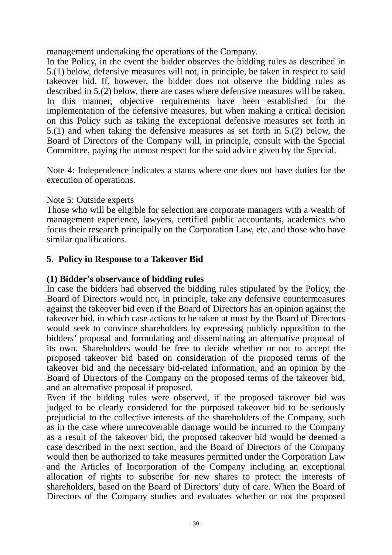management undertaking the operations of the Company.

In the Policy, in the event the bidder observes the bidding rules as described in 5.(1) below, defensive measures will not, in principle, be taken in respect to said takeover bid. If, however, the bidder does not observe the bidding rules as described in 5.(2) below, there are cases where defensive measures will be taken. In this manner, objective requirements have been established for the implementation of the defensive measures, but when making a critical decision on this Policy such as taking the exceptional defensive measures set forth in 5.(1) and when taking the defensive measures as set forth in 5.(2) below, the Board of Directors of the Company will, in principle, consult with the Special Committee, paying the utmost respect for the said advice given by the Special.

Note 4: Independence indicates a status where one does not have duties for the execution of operations.

# Note 5: Outside experts

Those who will be eligible for selection are corporate managers with a wealth of management experience, lawyers, certified public accountants, academics who focus their research principally on the Corporation Law, etc. and those who have similar qualifications.

# **5. Policy in Response to a Takeover Bid**

# **(1) Bidder's observance of bidding rules**

In case the bidders had observed the bidding rules stipulated by the Policy, the Board of Directors would not, in principle, take any defensive countermeasures against the takeover bid even if the Board of Directors has an opinion against the takeover bid, in which case actions to be taken at most by the Board of Directors would seek to convince shareholders by expressing publicly opposition to the bidders' proposal and formulating and disseminating an alternative proposal of its own. Shareholders would be free to decide whether or not to accept the proposed takeover bid based on consideration of the proposed terms of the takeover bid and the necessary bid-related information, and an opinion by the Board of Directors of the Company on the proposed terms of the takeover bid, and an alternative proposal if proposed.

Even if the bidding rules were observed, if the proposed takeover bid was judged to be clearly considered for the purposed takeover bid to be seriously prejudicial to the collective interests of the shareholders of the Company, such as in the case where unrecoverable damage would be incurred to the Company as a result of the takeover bid, the proposed takeover bid would be deemed a case described in the next section, and the Board of Directors of the Company would then be authorized to take measures permitted under the Corporation Law and the Articles of Incorporation of the Company including an exceptional allocation of rights to subscribe for new shares to protect the interests of shareholders, based on the Board of Directors' duty of care. When the Board of Directors of the Company studies and evaluates whether or not the proposed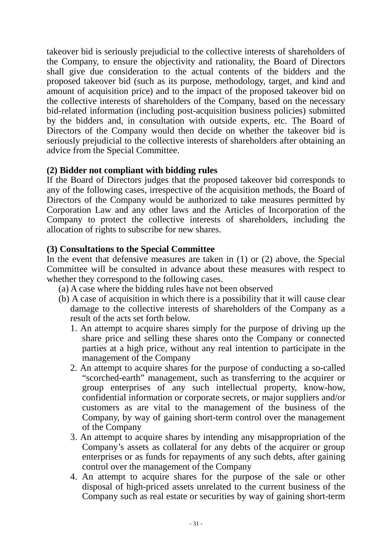takeover bid is seriously prejudicial to the collective interests of shareholders of the Company, to ensure the objectivity and rationality, the Board of Directors shall give due consideration to the actual contents of the bidders and the proposed takeover bid (such as its purpose, methodology, target, and kind and amount of acquisition price) and to the impact of the proposed takeover bid on the collective interests of shareholders of the Company, based on the necessary bid-related information (including post-acquisition business policies) submitted by the bidders and, in consultation with outside experts, etc. The Board of Directors of the Company would then decide on whether the takeover bid is seriously prejudicial to the collective interests of shareholders after obtaining an advice from the Special Committee.

# **(2) Bidder not compliant with bidding rules**

If the Board of Directors judges that the proposed takeover bid corresponds to any of the following cases, irrespective of the acquisition methods, the Board of Directors of the Company would be authorized to take measures permitted by Corporation Law and any other laws and the Articles of Incorporation of the Company to protect the collective interests of shareholders, including the allocation of rights to subscribe for new shares.

# **(3) Consultations to the Special Committee**

In the event that defensive measures are taken in (1) or (2) above, the Special Committee will be consulted in advance about these measures with respect to whether they correspond to the following cases.

- (a) A case where the bidding rules have not been observed
- (b) A case of acquisition in which there is a possibility that it will cause clear damage to the collective interests of shareholders of the Company as a result of the acts set forth below.
	- 1. An attempt to acquire shares simply for the purpose of driving up the share price and selling these shares onto the Company or connected parties at a high price, without any real intention to participate in the management of the Company
	- 2. An attempt to acquire shares for the purpose of conducting a so-called "scorched-earth" management, such as transferring to the acquirer or group enterprises of any such intellectual property, know-how, confidential information or corporate secrets, or major suppliers and/or customers as are vital to the management of the business of the Company, by way of gaining short-term control over the management of the Company
	- 3. An attempt to acquire shares by intending any misappropriation of the Company's assets as collateral for any debts of the acquirer or group enterprises or as funds for repayments of any such debts, after gaining control over the management of the Company
	- 4. An attempt to acquire shares for the purpose of the sale or other disposal of high-priced assets unrelated to the current business of the Company such as real estate or securities by way of gaining short-term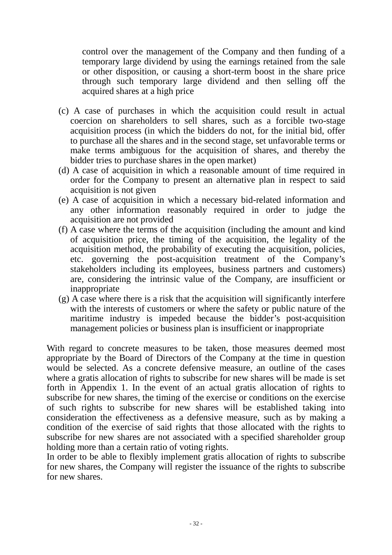control over the management of the Company and then funding of a temporary large dividend by using the earnings retained from the sale or other disposition, or causing a short-term boost in the share price through such temporary large dividend and then selling off the acquired shares at a high price

- (c) A case of purchases in which the acquisition could result in actual coercion on shareholders to sell shares, such as a forcible two-stage acquisition process (in which the bidders do not, for the initial bid, offer to purchase all the shares and in the second stage, set unfavorable terms or make terms ambiguous for the acquisition of shares, and thereby the bidder tries to purchase shares in the open market)
- (d) A case of acquisition in which a reasonable amount of time required in order for the Company to present an alternative plan in respect to said acquisition is not given
- (e) A case of acquisition in which a necessary bid-related information and any other information reasonably required in order to judge the acquisition are not provided
- (f) A case where the terms of the acquisition (including the amount and kind of acquisition price, the timing of the acquisition, the legality of the acquisition method, the probability of executing the acquisition, policies, etc. governing the post-acquisition treatment of the Company's stakeholders including its employees, business partners and customers) are, considering the intrinsic value of the Company, are insufficient or inappropriate
- (g) A case where there is a risk that the acquisition will significantly interfere with the interests of customers or where the safety or public nature of the maritime industry is impeded because the bidder's post-acquisition management policies or business plan is insufficient or inappropriate

With regard to concrete measures to be taken, those measures deemed most appropriate by the Board of Directors of the Company at the time in question would be selected. As a concrete defensive measure, an outline of the cases where a gratis allocation of rights to subscribe for new shares will be made is set forth in Appendix 1. In the event of an actual gratis allocation of rights to subscribe for new shares, the timing of the exercise or conditions on the exercise of such rights to subscribe for new shares will be established taking into consideration the effectiveness as a defensive measure, such as by making a condition of the exercise of said rights that those allocated with the rights to subscribe for new shares are not associated with a specified shareholder group holding more than a certain ratio of voting rights.

In order to be able to flexibly implement gratis allocation of rights to subscribe for new shares, the Company will register the issuance of the rights to subscribe for new shares.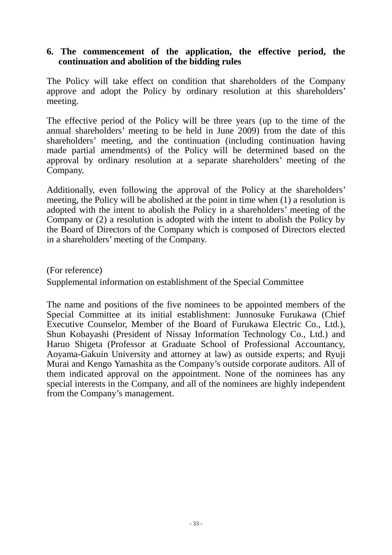#### **6. The commencement of the application, the effective period, the continuation and abolition of the bidding rules**

The Policy will take effect on condition that shareholders of the Company approve and adopt the Policy by ordinary resolution at this shareholders' meeting.

The effective period of the Policy will be three years (up to the time of the annual shareholders' meeting to be held in June 2009) from the date of this shareholders' meeting, and the continuation (including continuation having made partial amendments) of the Policy will be determined based on the approval by ordinary resolution at a separate shareholders' meeting of the Company.

Additionally, even following the approval of the Policy at the shareholders' meeting, the Policy will be abolished at the point in time when (1) a resolution is adopted with the intent to abolish the Policy in a shareholders' meeting of the Company or (2) a resolution is adopted with the intent to abolish the Policy by the Board of Directors of the Company which is composed of Directors elected in a shareholders' meeting of the Company.

(For reference) Supplemental information on establishment of the Special Committee

The name and positions of the five nominees to be appointed members of the Special Committee at its initial establishment: Junnosuke Furukawa (Chief Executive Counselor, Member of the Board of Furukawa Electric Co., Ltd.), Shun Kobayashi (President of Nissay Information Technology Co., Ltd.) and Haruo Shigeta (Professor at Graduate School of Professional Accountancy, Aoyama-Gakuin University and attorney at law) as outside experts; and Ryuji Murai and Kengo Yamashita as the Company's outside corporate auditors. All of them indicated approval on the appointment. None of the nominees has any special interests in the Company, and all of the nominees are highly independent from the Company's management.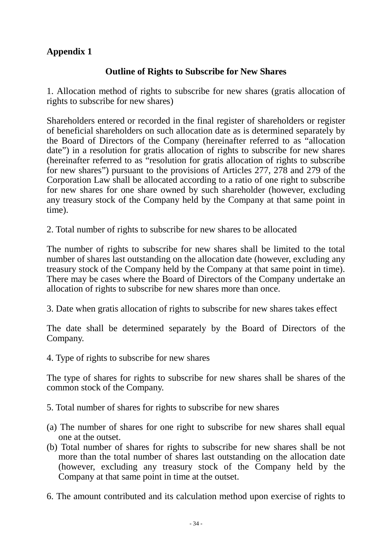# **Appendix 1**

# **Outline of Rights to Subscribe for New Shares**

1. Allocation method of rights to subscribe for new shares (gratis allocation of rights to subscribe for new shares)

Shareholders entered or recorded in the final register of shareholders or register of beneficial shareholders on such allocation date as is determined separately by the Board of Directors of the Company (hereinafter referred to as "allocation date") in a resolution for gratis allocation of rights to subscribe for new shares (hereinafter referred to as "resolution for gratis allocation of rights to subscribe for new shares") pursuant to the provisions of Articles 277, 278 and 279 of the Corporation Law shall be allocated according to a ratio of one right to subscribe for new shares for one share owned by such shareholder (however, excluding any treasury stock of the Company held by the Company at that same point in time).

2. Total number of rights to subscribe for new shares to be allocated

The number of rights to subscribe for new shares shall be limited to the total number of shares last outstanding on the allocation date (however, excluding any treasury stock of the Company held by the Company at that same point in time). There may be cases where the Board of Directors of the Company undertake an allocation of rights to subscribe for new shares more than once.

3. Date when gratis allocation of rights to subscribe for new shares takes effect

The date shall be determined separately by the Board of Directors of the Company.

4. Type of rights to subscribe for new shares

The type of shares for rights to subscribe for new shares shall be shares of the common stock of the Company.

5. Total number of shares for rights to subscribe for new shares

- (a) The number of shares for one right to subscribe for new shares shall equal one at the outset.
- (b) Total number of shares for rights to subscribe for new shares shall be not more than the total number of shares last outstanding on the allocation date (however, excluding any treasury stock of the Company held by the Company at that same point in time at the outset.

6. The amount contributed and its calculation method upon exercise of rights to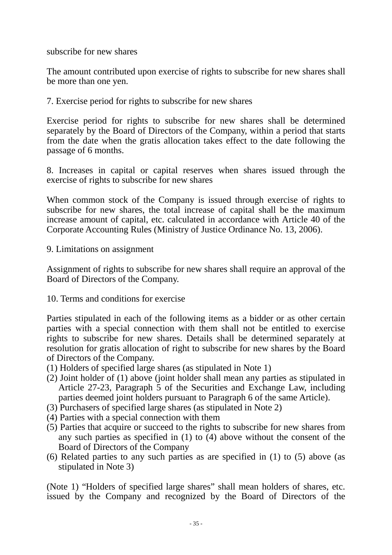subscribe for new shares

The amount contributed upon exercise of rights to subscribe for new shares shall be more than one yen.

7. Exercise period for rights to subscribe for new shares

Exercise period for rights to subscribe for new shares shall be determined separately by the Board of Directors of the Company, within a period that starts from the date when the gratis allocation takes effect to the date following the passage of 6 months.

8. Increases in capital or capital reserves when shares issued through the exercise of rights to subscribe for new shares

When common stock of the Company is issued through exercise of rights to subscribe for new shares, the total increase of capital shall be the maximum increase amount of capital, etc. calculated in accordance with Article 40 of the Corporate Accounting Rules (Ministry of Justice Ordinance No. 13, 2006).

9. Limitations on assignment

Assignment of rights to subscribe for new shares shall require an approval of the Board of Directors of the Company.

10. Terms and conditions for exercise

Parties stipulated in each of the following items as a bidder or as other certain parties with a special connection with them shall not be entitled to exercise rights to subscribe for new shares. Details shall be determined separately at resolution for gratis allocation of right to subscribe for new shares by the Board of Directors of the Company.

- (1) Holders of specified large shares (as stipulated in Note 1)
- (2) Joint holder of (1) above (joint holder shall mean any parties as stipulated in Article 27-23, Paragraph 5 of the Securities and Exchange Law, including parties deemed joint holders pursuant to Paragraph 6 of the same Article).
- (3) Purchasers of specified large shares (as stipulated in Note 2)
- (4) Parties with a special connection with them
- (5) Parties that acquire or succeed to the rights to subscribe for new shares from any such parties as specified in (1) to (4) above without the consent of the Board of Directors of the Company
- (6) Related parties to any such parties as are specified in (1) to (5) above (as stipulated in Note 3)

(Note 1) "Holders of specified large shares" shall mean holders of shares, etc. issued by the Company and recognized by the Board of Directors of the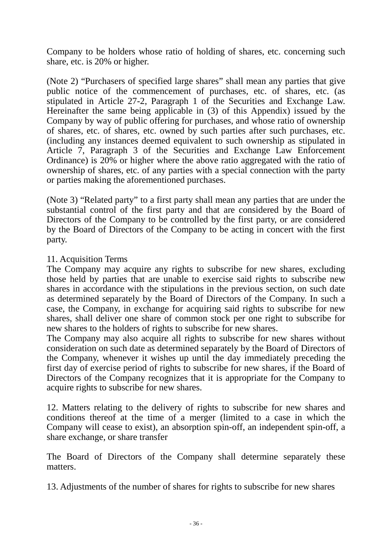Company to be holders whose ratio of holding of shares, etc. concerning such share, etc. is 20% or higher.

(Note 2) "Purchasers of specified large shares" shall mean any parties that give public notice of the commencement of purchases, etc. of shares, etc. (as stipulated in Article 27-2, Paragraph 1 of the Securities and Exchange Law. Hereinafter the same being applicable in (3) of this Appendix) issued by the Company by way of public offering for purchases, and whose ratio of ownership of shares, etc. of shares, etc. owned by such parties after such purchases, etc. (including any instances deemed equivalent to such ownership as stipulated in Article 7, Paragraph 3 of the Securities and Exchange Law Enforcement Ordinance) is 20% or higher where the above ratio aggregated with the ratio of ownership of shares, etc. of any parties with a special connection with the party or parties making the aforementioned purchases.

(Note 3) "Related party" to a first party shall mean any parties that are under the substantial control of the first party and that are considered by the Board of Directors of the Company to be controlled by the first party, or are considered by the Board of Directors of the Company to be acting in concert with the first party.

### 11. Acquisition Terms

The Company may acquire any rights to subscribe for new shares, excluding those held by parties that are unable to exercise said rights to subscribe new shares in accordance with the stipulations in the previous section, on such date as determined separately by the Board of Directors of the Company. In such a case, the Company, in exchange for acquiring said rights to subscribe for new shares, shall deliver one share of common stock per one right to subscribe for new shares to the holders of rights to subscribe for new shares.

The Company may also acquire all rights to subscribe for new shares without consideration on such date as determined separately by the Board of Directors of the Company, whenever it wishes up until the day immediately preceding the first day of exercise period of rights to subscribe for new shares, if the Board of Directors of the Company recognizes that it is appropriate for the Company to acquire rights to subscribe for new shares.

12. Matters relating to the delivery of rights to subscribe for new shares and conditions thereof at the time of a merger (limited to a case in which the Company will cease to exist), an absorption spin-off, an independent spin-off, a share exchange, or share transfer

The Board of Directors of the Company shall determine separately these matters.

13. Adjustments of the number of shares for rights to subscribe for new shares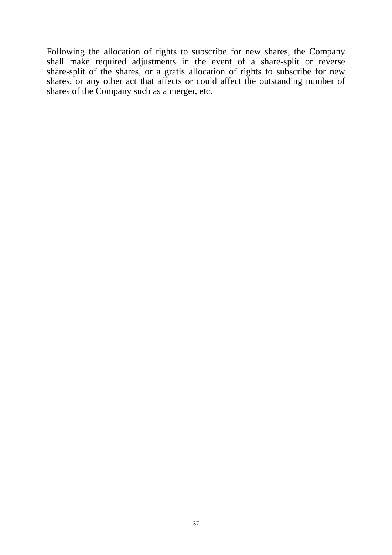Following the allocation of rights to subscribe for new shares, the Company shall make required adjustments in the event of a share-split or reverse share-split of the shares, or a gratis allocation of rights to subscribe for new shares, or any other act that affects or could affect the outstanding number of shares of the Company such as a merger, etc.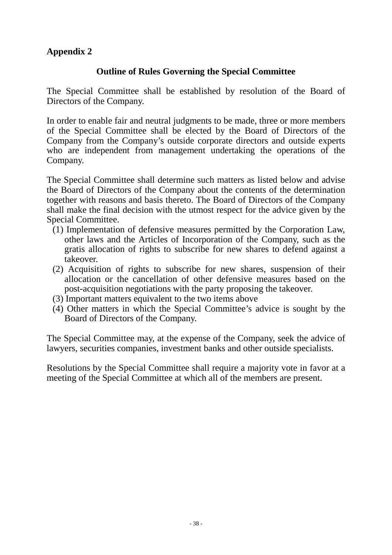# **Appendix 2**

# **Outline of Rules Governing the Special Committee**

The Special Committee shall be established by resolution of the Board of Directors of the Company.

In order to enable fair and neutral judgments to be made, three or more members of the Special Committee shall be elected by the Board of Directors of the Company from the Company's outside corporate directors and outside experts who are independent from management undertaking the operations of the Company.

The Special Committee shall determine such matters as listed below and advise the Board of Directors of the Company about the contents of the determination together with reasons and basis thereto. The Board of Directors of the Company shall make the final decision with the utmost respect for the advice given by the Special Committee.

- (1) Implementation of defensive measures permitted by the Corporation Law, other laws and the Articles of Incorporation of the Company, such as the gratis allocation of rights to subscribe for new shares to defend against a takeover.
- (2) Acquisition of rights to subscribe for new shares, suspension of their allocation or the cancellation of other defensive measures based on the post-acquisition negotiations with the party proposing the takeover.
- (3) Important matters equivalent to the two items above
- (4) Other matters in which the Special Committee's advice is sought by the Board of Directors of the Company.

The Special Committee may, at the expense of the Company, seek the advice of lawyers, securities companies, investment banks and other outside specialists.

Resolutions by the Special Committee shall require a majority vote in favor at a meeting of the Special Committee at which all of the members are present.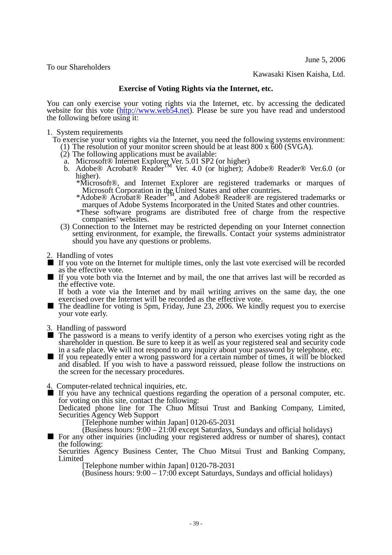June 5, 2006

To our Shareholders

Kawasaki Kisen Kaisha, Ltd.

#### **Exercise of Voting Rights via the Internet, etc.**

You can only exercise your voting rights via the Internet, etc. by accessing the dedicated website for this vote [\(http://www.web54.net\)](http://www.web54.net/). Please be sure you have read and understood the following before using it:

1. System requirements

To exercise your voting rights via the Internet, you need the following systems environment:

- (1) The resolution of your monitor screen should be at least 800 x 600 (SVGA).
- (2) The following applications must be available:
	- a. Microsoft® Internet Explorer Ver. 5.01 SP2 (or higher) b. Adobe<sup>®</sup> Acrobat<sup>®</sup> Reader<sup>TM</sup> Ver. 4.0 (or higher); Adobe® Reader® Ver.6.0 (or higher).
		- \*Microsoft®, and Internet Explorer are registered trademarks or marques of Microsoft Corporation in the United States and other countries.
		- \*Adobe® Acrobat® Reader<sup>™</sup>, and Adobe® Reader® are registered trademarks or marques of Adobe Systems Incorporated in the United States and other countries.
		- \*These software programs are distributed free of charge from the respective companies' websites.
- (3) Connection to the Internet may be restricted depending on your Internet connection setting environment, for example, the firewalls. Contact your systems administrator should you have any questions or problems.

2. Handling of votes

- If you vote on the Internet for multiple times, only the last vote exercised will be recorded as the effective vote.
- If you vote both via the Internet and by mail, the one that arrives last will be recorded as the effective vote.

If both a vote via the Internet and by mail writing arrives on the same day, the one exercised over the Internet will be recorded as the effective vote.

- The deadline for voting is 5pm, Friday, June 23, 2006. We kindly request you to exercise your vote early.
- 
- 3. Handling of password<br>■ The password is a means to verify identity of a person who exercises voting right as the shareholder in question. Be sure to keep it as well as your registered seal and security code in a safe place. We will not respond to any inquiry about your password by telephone, etc. ■ If you repeatedly enter a wrong password for a certain number of times, it will be blocked
- and disabled. If you wish to have a password reissued, please follow the instructions on the screen for the necessary procedures.
- 4. Computer-related technical inquiries, etc.

■ If you have any technical questions regarding the operation of a personal computer, etc. for voting on this site, contact the following:

Dedicated phone line for The Chuo Mitsui Trust and Banking Company, Limited, Securities Agency Web Support<br>
[Telephone number within Japan] 0120-65-2031

**EXECUTE:** For any other inquiries (including your registered address or number of shares), contact the following:

Securities Agency Business Center, The Chuo Mitsui Trust and Banking Company, Limited

[Telephone number within Japan] 0120-78-2031

(Business hours: 9:00 – 17:00 except Saturdays, Sundays and official holidays)